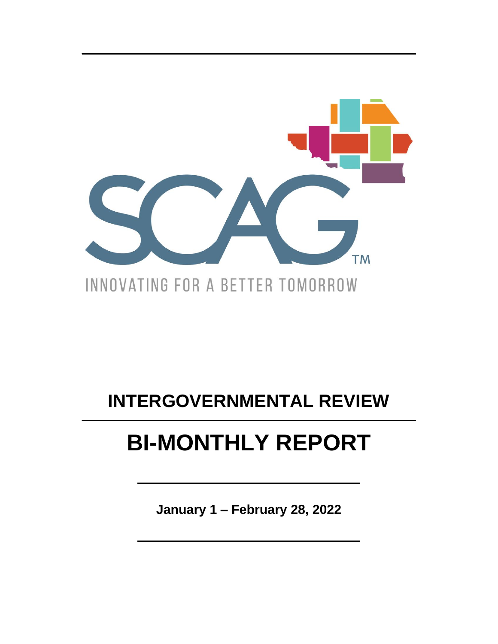

## **INTERGOVERNMENTAL REVIEW**

# **BI-MONTHLY REPORT**

January 1 - February 28, 2022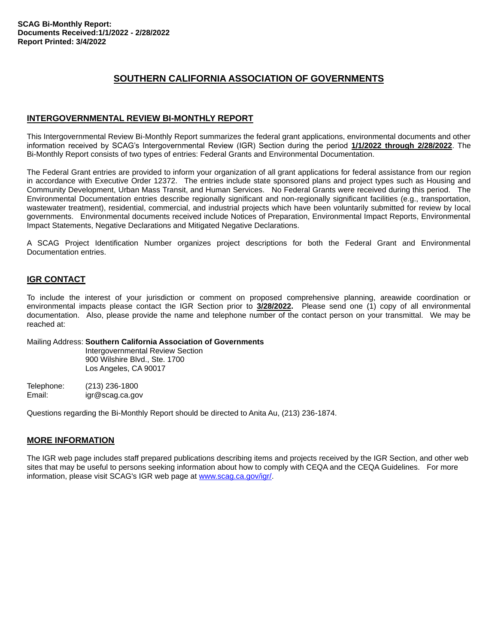### **SOUTHERN CALIFORNIA ASSOCIATION OF GOVERNMENTS**

#### **INTERGOVERNMENTAL REVIEW BI-MONTHLY REPORT**

This Intergovernmental Review Bi-Monthly Report summarizes the federal grant applications, environmental documents and other information received by SCAG's Intergovernmental Review (IGR) Section during the period **1/1/2022 through 2/28/2022**. The Bi-Monthly Report consists of two types of entries: Federal Grants and Environmental Documentation.

The Federal Grant entries are provided to inform your organization of all grant applications for federal assistance from our region in accordance with Executive Order 12372. The entries include state sponsored plans and project types such as Housing and Community Development, Urban Mass Transit, and Human Services. No Federal Grants were received during this period. The Environmental Documentation entries describe regionally significant and non-regionally significant facilities (e.g., transportation, wastewater treatment), residential, commercial, and industrial projects which have been voluntarily submitted for review by local governments. Environmental documents received include Notices of Preparation, Environmental Impact Reports, Environmental Impact Statements, Negative Declarations and Mitigated Negative Declarations.

A SCAG Project Identification Number organizes project descriptions for both the Federal Grant and Environmental Documentation entries.

#### **IGR CONTACT**

To include the interest of your jurisdiction or comment on proposed comprehensive planning, areawide coordination or environmental impacts please contact the IGR Section prior to **3/28/2022.** Please send one (1) copy of all environmental documentation. Also, please provide the name and telephone number of the contact person on your transmittal. We may be reached at:

#### Mailing Address: **Southern California Association of Governments**

Intergovernmental Review Section 900 Wilshire Blvd., Ste. 1700 Los Angeles, CA 90017

Telephone: (213) 236-1800 Email: igr@scag.ca.gov

Questions regarding the Bi-Monthly Report should be directed to Anita Au, (213) 236-1874.

#### **MORE INFORMATION**

The IGR web page includes staff prepared publications describing items and projects received by the IGR Section, and other web sites that may be useful to persons seeking information about how to comply with CEQA and the CEQA Guidelines. For more information, please visit SCAG's IGR web page at www.scag.ca.gov/igr/.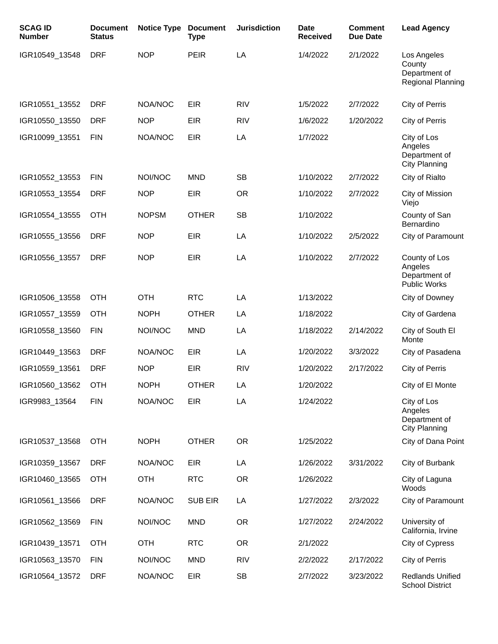| <b>SCAG ID</b><br><b>Number</b> | <b>Document</b><br><b>Status</b> | <b>Notice Type</b> | <b>Document</b><br><b>Type</b> | <b>Jurisdiction</b> | <b>Date</b><br><b>Received</b> | <b>Comment</b><br><b>Due Date</b> | <b>Lead Agency</b>                                                 |
|---------------------------------|----------------------------------|--------------------|--------------------------------|---------------------|--------------------------------|-----------------------------------|--------------------------------------------------------------------|
| IGR10549_13548                  | <b>DRF</b>                       | <b>NOP</b>         | <b>PEIR</b>                    | LA                  | 1/4/2022                       | 2/1/2022                          | Los Angeles<br>County<br>Department of<br><b>Regional Planning</b> |
| IGR10551_13552                  | <b>DRF</b>                       | NOA/NOC            | <b>EIR</b>                     | <b>RIV</b>          | 1/5/2022                       | 2/7/2022                          | City of Perris                                                     |
| IGR10550_13550                  | <b>DRF</b>                       | <b>NOP</b>         | <b>EIR</b>                     | <b>RIV</b>          | 1/6/2022                       | 1/20/2022                         | City of Perris                                                     |
| IGR10099_13551                  | <b>FIN</b>                       | NOA/NOC            | <b>EIR</b>                     | LA                  | 1/7/2022                       |                                   | City of Los<br>Angeles<br>Department of<br>City Planning           |
| IGR10552_13553                  | <b>FIN</b>                       | NOI/NOC            | <b>MND</b>                     | <b>SB</b>           | 1/10/2022                      | 2/7/2022                          | City of Rialto                                                     |
| IGR10553_13554                  | <b>DRF</b>                       | <b>NOP</b>         | <b>EIR</b>                     | <b>OR</b>           | 1/10/2022                      | 2/7/2022                          | City of Mission<br>Viejo                                           |
| IGR10554_13555                  | <b>OTH</b>                       | <b>NOPSM</b>       | <b>OTHER</b>                   | <b>SB</b>           | 1/10/2022                      |                                   | County of San<br>Bernardino                                        |
| IGR10555_13556                  | <b>DRF</b>                       | <b>NOP</b>         | <b>EIR</b>                     | LA                  | 1/10/2022                      | 2/5/2022                          | City of Paramount                                                  |
| IGR10556_13557                  | <b>DRF</b>                       | <b>NOP</b>         | <b>EIR</b>                     | LA                  | 1/10/2022                      | 2/7/2022                          | County of Los<br>Angeles<br>Department of<br><b>Public Works</b>   |
| IGR10506_13558                  | <b>OTH</b>                       | <b>OTH</b>         | <b>RTC</b>                     | LA                  | 1/13/2022                      |                                   | City of Downey                                                     |
| IGR10557_13559                  | <b>OTH</b>                       | <b>NOPH</b>        | <b>OTHER</b>                   | LA                  | 1/18/2022                      |                                   | City of Gardena                                                    |
| IGR10558_13560                  | <b>FIN</b>                       | NOI/NOC            | <b>MND</b>                     | LA                  | 1/18/2022                      | 2/14/2022                         | City of South El<br>Monte                                          |
| IGR10449 13563                  | <b>DRF</b>                       | NOA/NOC            | <b>EIR</b>                     | LA                  | 1/20/2022                      | 3/3/2022                          | City of Pasadena                                                   |
| IGR10559_13561                  | <b>DRF</b>                       | <b>NOP</b>         | <b>EIR</b>                     | <b>RIV</b>          | 1/20/2022                      | 2/17/2022                         | City of Perris                                                     |
| IGR10560_13562                  | <b>OTH</b>                       | <b>NOPH</b>        | <b>OTHER</b>                   | LA                  | 1/20/2022                      |                                   | City of El Monte                                                   |
| IGR9983_13564                   | <b>FIN</b>                       | NOA/NOC            | <b>EIR</b>                     | LA                  | 1/24/2022                      |                                   | City of Los<br>Angeles<br>Department of<br><b>City Planning</b>    |
| IGR10537_13568                  | <b>OTH</b>                       | <b>NOPH</b>        | <b>OTHER</b>                   | <b>OR</b>           | 1/25/2022                      |                                   | City of Dana Point                                                 |
| IGR10359_13567                  | <b>DRF</b>                       | NOA/NOC            | <b>EIR</b>                     | LA                  | 1/26/2022                      | 3/31/2022                         | City of Burbank                                                    |
| IGR10460_13565                  | <b>OTH</b>                       | <b>OTH</b>         | <b>RTC</b>                     | <b>OR</b>           | 1/26/2022                      |                                   | City of Laguna<br>Woods                                            |
| IGR10561_13566                  | <b>DRF</b>                       | NOA/NOC            | <b>SUB EIR</b>                 | LA                  | 1/27/2022                      | 2/3/2022                          | City of Paramount                                                  |
| IGR10562_13569                  | <b>FIN</b>                       | NOI/NOC            | <b>MND</b>                     | <b>OR</b>           | 1/27/2022                      | 2/24/2022                         | University of<br>California, Irvine                                |
| IGR10439_13571                  | <b>OTH</b>                       | <b>OTH</b>         | <b>RTC</b>                     | <b>OR</b>           | 2/1/2022                       |                                   | City of Cypress                                                    |
| IGR10563_13570                  | <b>FIN</b>                       | NOI/NOC            | <b>MND</b>                     | <b>RIV</b>          | 2/2/2022                       | 2/17/2022                         | City of Perris                                                     |
| IGR10564_13572                  | <b>DRF</b>                       | NOA/NOC            | <b>EIR</b>                     | <b>SB</b>           | 2/7/2022                       | 3/23/2022                         | Redlands Unified<br><b>School District</b>                         |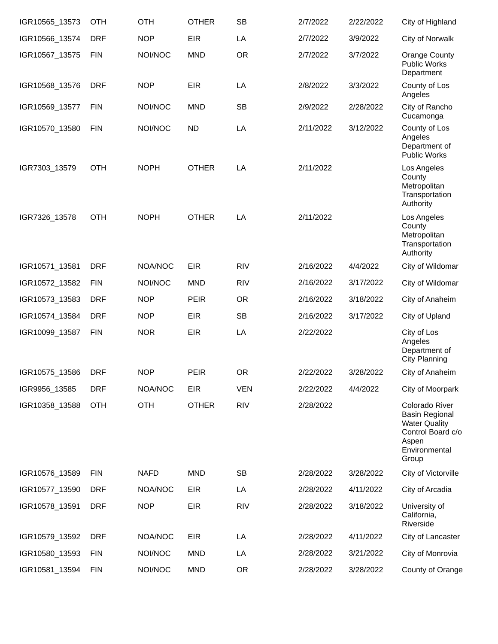| IGR10565_13573 | <b>OTH</b> | OTH         | <b>OTHER</b> | <b>SB</b>  | 2/7/2022  | 2/22/2022 | City of Highland                                                                                                        |
|----------------|------------|-------------|--------------|------------|-----------|-----------|-------------------------------------------------------------------------------------------------------------------------|
| IGR10566_13574 | <b>DRF</b> | <b>NOP</b>  | <b>EIR</b>   | LA         | 2/7/2022  | 3/9/2022  | City of Norwalk                                                                                                         |
| IGR10567_13575 | <b>FIN</b> | NOI/NOC     | <b>MND</b>   | <b>OR</b>  | 2/7/2022  | 3/7/2022  | Orange County<br><b>Public Works</b><br>Department                                                                      |
| IGR10568_13576 | <b>DRF</b> | <b>NOP</b>  | <b>EIR</b>   | LA         | 2/8/2022  | 3/3/2022  | County of Los<br>Angeles                                                                                                |
| IGR10569_13577 | <b>FIN</b> | NOI/NOC     | <b>MND</b>   | <b>SB</b>  | 2/9/2022  | 2/28/2022 | City of Rancho<br>Cucamonga                                                                                             |
| IGR10570_13580 | <b>FIN</b> | NOI/NOC     | <b>ND</b>    | LA         | 2/11/2022 | 3/12/2022 | County of Los<br>Angeles<br>Department of<br><b>Public Works</b>                                                        |
| IGR7303_13579  | <b>OTH</b> | <b>NOPH</b> | <b>OTHER</b> | LA         | 2/11/2022 |           | Los Angeles<br>County<br>Metropolitan<br>Transportation<br>Authority                                                    |
| IGR7326_13578  | <b>OTH</b> | <b>NOPH</b> | <b>OTHER</b> | LA         | 2/11/2022 |           | Los Angeles<br>County<br>Metropolitan<br>Transportation<br>Authority                                                    |
| IGR10571_13581 | <b>DRF</b> | NOA/NOC     | <b>EIR</b>   | <b>RIV</b> | 2/16/2022 | 4/4/2022  | City of Wildomar                                                                                                        |
| IGR10572_13582 | <b>FIN</b> | NOI/NOC     | <b>MND</b>   | <b>RIV</b> | 2/16/2022 | 3/17/2022 | City of Wildomar                                                                                                        |
| IGR10573_13583 | <b>DRF</b> | <b>NOP</b>  | <b>PEIR</b>  | <b>OR</b>  | 2/16/2022 | 3/18/2022 | City of Anaheim                                                                                                         |
| IGR10574_13584 | <b>DRF</b> | <b>NOP</b>  | <b>EIR</b>   | <b>SB</b>  | 2/16/2022 | 3/17/2022 | City of Upland                                                                                                          |
| IGR10099_13587 | <b>FIN</b> | <b>NOR</b>  | <b>EIR</b>   | LA         | 2/22/2022 |           | City of Los<br>Angeles<br>Department of<br>City Planning                                                                |
| IGR10575_13586 | <b>DRF</b> | <b>NOP</b>  | <b>PEIR</b>  | <b>OR</b>  | 2/22/2022 | 3/28/2022 | City of Anaheim                                                                                                         |
| IGR9956_13585  | <b>DRF</b> | NOA/NOC     | <b>EIR</b>   | <b>VEN</b> | 2/22/2022 | 4/4/2022  | City of Moorpark                                                                                                        |
| IGR10358_13588 | <b>OTH</b> | <b>OTH</b>  | <b>OTHER</b> | <b>RIV</b> | 2/28/2022 |           | Colorado River<br><b>Basin Regional</b><br><b>Water Quality</b><br>Control Board c/o<br>Aspen<br>Environmental<br>Group |
| IGR10576_13589 | <b>FIN</b> | <b>NAFD</b> | <b>MND</b>   | <b>SB</b>  | 2/28/2022 | 3/28/2022 | City of Victorville                                                                                                     |
| IGR10577_13590 | <b>DRF</b> | NOA/NOC     | <b>EIR</b>   | LA         | 2/28/2022 | 4/11/2022 | City of Arcadia                                                                                                         |
| IGR10578_13591 | <b>DRF</b> | <b>NOP</b>  | <b>EIR</b>   | <b>RIV</b> | 2/28/2022 | 3/18/2022 | University of<br>California,<br>Riverside                                                                               |
| IGR10579_13592 | <b>DRF</b> | NOA/NOC     | <b>EIR</b>   | LA         | 2/28/2022 | 4/11/2022 | City of Lancaster                                                                                                       |
| IGR10580_13593 | <b>FIN</b> | NOI/NOC     | <b>MND</b>   | LA         | 2/28/2022 | 3/21/2022 | City of Monrovia                                                                                                        |
| IGR10581_13594 | <b>FIN</b> | NOI/NOC     | <b>MND</b>   | <b>OR</b>  | 2/28/2022 | 3/28/2022 | County of Orange                                                                                                        |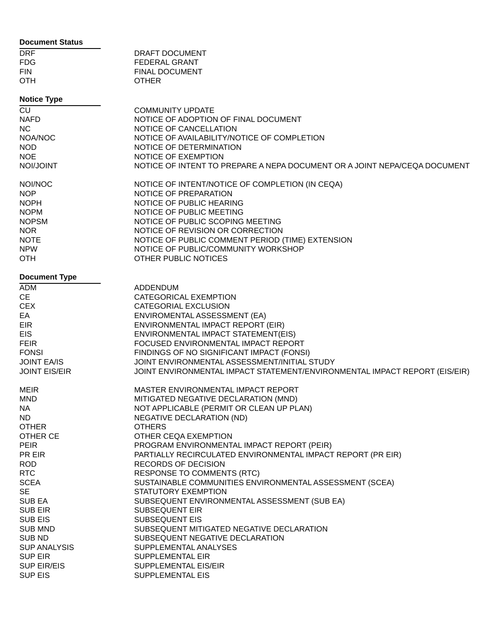#### **Document Status**

| <b>DRF</b> | DRAFT DOCUMENT        |
|------------|-----------------------|
| FDG.       | FEDERAL GRANT         |
| FIN        | <b>FINAL DOCUMENT</b> |
| <b>OTH</b> | <b>OTHER</b>          |

#### **Notice Type**

| <b>INDITIE TAPE</b>  |                                                                            |
|----------------------|----------------------------------------------------------------------------|
| CU                   | <b>COMMUNITY UPDATE</b>                                                    |
| <b>NAFD</b>          | NOTICE OF ADOPTION OF FINAL DOCUMENT                                       |
|                      |                                                                            |
| <b>NC</b>            | NOTICE OF CANCELLATION                                                     |
| NOA/NOC              | NOTICE OF AVAILABILITY/NOTICE OF COMPLETION                                |
| <b>NOD</b>           | NOTICE OF DETERMINATION                                                    |
| <b>NOE</b>           | NOTICE OF EXEMPTION                                                        |
| NOI/JOINT            |                                                                            |
|                      | NOTICE OF INTENT TO PREPARE A NEPA DOCUMENT OR A JOINT NEPA/CEQA DOCUMENT  |
|                      |                                                                            |
| NOI/NOC              | NOTICE OF INTENT/NOTICE OF COMPLETION (IN CEQA)                            |
| <b>NOP</b>           | NOTICE OF PREPARATION                                                      |
| <b>NOPH</b>          | NOTICE OF PUBLIC HEARING                                                   |
| <b>NOPM</b>          | NOTICE OF PUBLIC MEETING                                                   |
| <b>NOPSM</b>         |                                                                            |
|                      | NOTICE OF PUBLIC SCOPING MEETING                                           |
| <b>NOR</b>           | NOTICE OF REVISION OR CORRECTION                                           |
| <b>NOTE</b>          | NOTICE OF PUBLIC COMMENT PERIOD (TIME) EXTENSION                           |
| <b>NPW</b>           | NOTICE OF PUBLIC/COMMUNITY WORKSHOP                                        |
| <b>OTH</b>           | OTHER PUBLIC NOTICES                                                       |
|                      |                                                                            |
|                      |                                                                            |
| <b>Document Type</b> |                                                                            |
| <b>ADM</b>           | <b>ADDENDUM</b>                                                            |
| <b>CE</b>            | CATEGORICAL EXEMPTION                                                      |
| <b>CEX</b>           | CATEGORIAL EXCLUSION                                                       |
| EA                   | ENVIROMENTAL ASSESSMENT (EA)                                               |
|                      |                                                                            |
| <b>EIR</b>           | ENVIRONMENTAL IMPACT REPORT (EIR)                                          |
| <b>EIS</b>           | ENVIRONMENTAL IMPACT STATEMENT(EIS)                                        |
| <b>FEIR</b>          | FOCUSED ENVIRONMENTAL IMPACT REPORT                                        |
| <b>FONSI</b>         | FINDINGS OF NO SIGNIFICANT IMPACT (FONSI)                                  |
| <b>JOINT EA/IS</b>   | JOINT ENVIRONMENTAL ASSESSMENT/INITIAL STUDY                               |
|                      |                                                                            |
| <b>JOINT EIS/EIR</b> | JOINT ENVIRONMENTAL IMPACT STATEMENT/ENVIRONMENTAL IMPACT REPORT (EIS/EIR) |
|                      |                                                                            |
| MEIR                 | MASTER ENVIRONMENTAL IMPACT REPORT                                         |
| <b>MND</b>           | MITIGATED NEGATIVE DECLARATION (MND)                                       |
| NA.                  | NOT APPLICABLE (PERMIT OR CLEAN UP PLAN)                                   |
| ND.                  | NEGATIVE DECLARATION (ND)                                                  |
|                      |                                                                            |
| <b>OTHER</b>         | <b>OTHERS</b>                                                              |
| OTHER CE             | OTHER CEQA EXEMPTION                                                       |
| <b>PEIR</b>          | PROGRAM ENVIRONMENTAL IMPACT REPORT (PEIR)                                 |
| PR EIR               | PARTIALLY RECIRCULATED ENVIRONMENTAL IMPACT REPORT (PR EIR)                |
| <b>ROD</b>           | RECORDS OF DECISION                                                        |
|                      |                                                                            |
| <b>RTC</b>           | <b>RESPONSE TO COMMENTS (RTC)</b>                                          |
| <b>SCEA</b>          | SUSTAINABLE COMMUNITIES ENVIRONMENTAL ASSESSMENT (SCEA)                    |
| <b>SE</b>            | STATUTORY EXEMPTION                                                        |
| <b>SUB EA</b>        | SUBSEQUENT ENVIRONMENTAL ASSESSMENT (SUB EA)                               |
| <b>SUB EIR</b>       | <b>SUBSEQUENT EIR</b>                                                      |
| <b>SUB EIS</b>       | <b>SUBSEQUENT EIS</b>                                                      |
|                      |                                                                            |
| <b>SUB MND</b>       | SUBSEQUENT MITIGATED NEGATIVE DECLARATION                                  |
| <b>SUB ND</b>        | SUBSEQUENT NEGATIVE DECLARATION                                            |
| <b>SUP ANALYSIS</b>  | SUPPLEMENTAL ANALYSES                                                      |
| <b>SUP EIR</b>       | SUPPLEMENTAL EIR                                                           |
|                      |                                                                            |
| <b>SUP EIR/EIS</b>   | <b>SUPPLEMENTAL EIS/EIR</b>                                                |
| <b>SUP EIS</b>       | SUPPLEMENTAL EIS                                                           |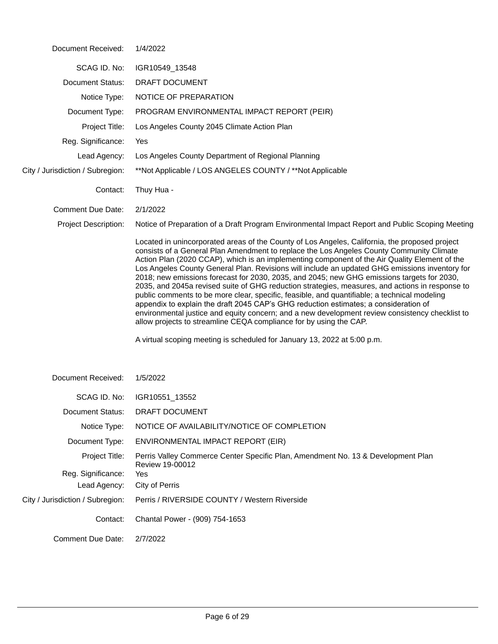| Document Received:               | 1/4/2022                                                                                                                                                                                                                                                                                                                                                                                                                                                                                                                                                                                                                                                                                                                                                                                                                                                                                                                                                        |
|----------------------------------|-----------------------------------------------------------------------------------------------------------------------------------------------------------------------------------------------------------------------------------------------------------------------------------------------------------------------------------------------------------------------------------------------------------------------------------------------------------------------------------------------------------------------------------------------------------------------------------------------------------------------------------------------------------------------------------------------------------------------------------------------------------------------------------------------------------------------------------------------------------------------------------------------------------------------------------------------------------------|
| SCAG ID. No:                     | IGR10549_13548                                                                                                                                                                                                                                                                                                                                                                                                                                                                                                                                                                                                                                                                                                                                                                                                                                                                                                                                                  |
| <b>Document Status:</b>          | DRAFT DOCUMENT                                                                                                                                                                                                                                                                                                                                                                                                                                                                                                                                                                                                                                                                                                                                                                                                                                                                                                                                                  |
| Notice Type:                     | NOTICE OF PREPARATION                                                                                                                                                                                                                                                                                                                                                                                                                                                                                                                                                                                                                                                                                                                                                                                                                                                                                                                                           |
| Document Type:                   | PROGRAM ENVIRONMENTAL IMPACT REPORT (PEIR)                                                                                                                                                                                                                                                                                                                                                                                                                                                                                                                                                                                                                                                                                                                                                                                                                                                                                                                      |
| Project Title:                   | Los Angeles County 2045 Climate Action Plan                                                                                                                                                                                                                                                                                                                                                                                                                                                                                                                                                                                                                                                                                                                                                                                                                                                                                                                     |
| Reg. Significance:               | Yes                                                                                                                                                                                                                                                                                                                                                                                                                                                                                                                                                                                                                                                                                                                                                                                                                                                                                                                                                             |
| Lead Agency:                     | Los Angeles County Department of Regional Planning                                                                                                                                                                                                                                                                                                                                                                                                                                                                                                                                                                                                                                                                                                                                                                                                                                                                                                              |
| City / Jurisdiction / Subregion: | **Not Applicable / LOS ANGELES COUNTY / **Not Applicable                                                                                                                                                                                                                                                                                                                                                                                                                                                                                                                                                                                                                                                                                                                                                                                                                                                                                                        |
| Contact:                         | Thuy Hua -                                                                                                                                                                                                                                                                                                                                                                                                                                                                                                                                                                                                                                                                                                                                                                                                                                                                                                                                                      |
| <b>Comment Due Date:</b>         | 2/1/2022                                                                                                                                                                                                                                                                                                                                                                                                                                                                                                                                                                                                                                                                                                                                                                                                                                                                                                                                                        |
| <b>Project Description:</b>      | Notice of Preparation of a Draft Program Environmental Impact Report and Public Scoping Meeting                                                                                                                                                                                                                                                                                                                                                                                                                                                                                                                                                                                                                                                                                                                                                                                                                                                                 |
|                                  | Located in unincorporated areas of the County of Los Angeles, California, the proposed project<br>consists of a General Plan Amendment to replace the Los Angeles County Community Climate<br>Action Plan (2020 CCAP), which is an implementing component of the Air Quality Element of the<br>Los Angeles County General Plan. Revisions will include an updated GHG emissions inventory for<br>2018; new emissions forecast for 2030, 2035, and 2045; new GHG emissions targets for 2030,<br>2035, and 2045a revised suite of GHG reduction strategies, measures, and actions in response to<br>public comments to be more clear, specific, feasible, and quantifiable; a technical modeling<br>appendix to explain the draft 2045 CAP's GHG reduction estimates; a consideration of<br>environmental justice and equity concern; and a new development review consistency checklist to<br>allow projects to streamline CEQA compliance for by using the CAP. |
|                                  | A virtual scoping meeting is scheduled for January 13, 2022 at 5:00 p.m.                                                                                                                                                                                                                                                                                                                                                                                                                                                                                                                                                                                                                                                                                                                                                                                                                                                                                        |
| Document Received:               | 1/5/2022                                                                                                                                                                                                                                                                                                                                                                                                                                                                                                                                                                                                                                                                                                                                                                                                                                                                                                                                                        |
| SCAG ID. No:                     | IGR10551_13552                                                                                                                                                                                                                                                                                                                                                                                                                                                                                                                                                                                                                                                                                                                                                                                                                                                                                                                                                  |
| <b>Document Status:</b>          | <b>DRAFT DOCUMENT</b>                                                                                                                                                                                                                                                                                                                                                                                                                                                                                                                                                                                                                                                                                                                                                                                                                                                                                                                                           |
| Notice Type:                     | NOTICE OF AVAILABILITY/NOTICE OF COMPLETION                                                                                                                                                                                                                                                                                                                                                                                                                                                                                                                                                                                                                                                                                                                                                                                                                                                                                                                     |
| Document Type:                   | ENVIRONMENTAL IMPACT REPORT (EIR)                                                                                                                                                                                                                                                                                                                                                                                                                                                                                                                                                                                                                                                                                                                                                                                                                                                                                                                               |
| Project Title:                   | Perris Valley Commerce Center Specific Plan, Amendment No. 13 & Development Plan<br>Review 19-00012                                                                                                                                                                                                                                                                                                                                                                                                                                                                                                                                                                                                                                                                                                                                                                                                                                                             |
| Reg. Significance:               | Yes                                                                                                                                                                                                                                                                                                                                                                                                                                                                                                                                                                                                                                                                                                                                                                                                                                                                                                                                                             |
| Lead Agency:                     | City of Perris                                                                                                                                                                                                                                                                                                                                                                                                                                                                                                                                                                                                                                                                                                                                                                                                                                                                                                                                                  |
| City / Jurisdiction / Subregion: | Perris / RIVERSIDE COUNTY / Western Riverside                                                                                                                                                                                                                                                                                                                                                                                                                                                                                                                                                                                                                                                                                                                                                                                                                                                                                                                   |
| Contact:                         | Chantal Power - (909) 754-1653                                                                                                                                                                                                                                                                                                                                                                                                                                                                                                                                                                                                                                                                                                                                                                                                                                                                                                                                  |
| <b>Comment Due Date:</b>         | 2/7/2022                                                                                                                                                                                                                                                                                                                                                                                                                                                                                                                                                                                                                                                                                                                                                                                                                                                                                                                                                        |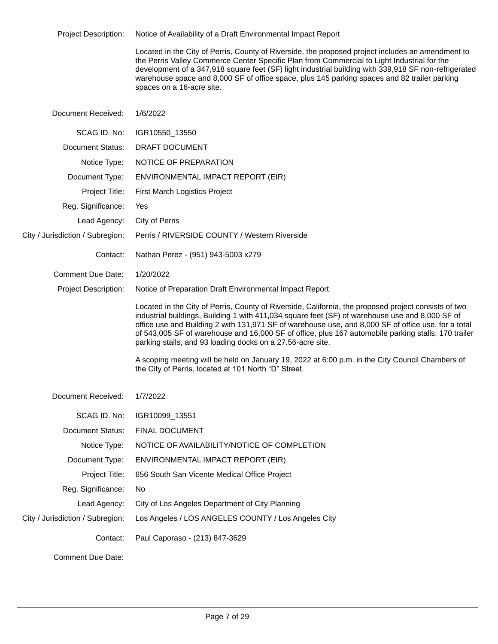| <b>Project Description:</b>      | Notice of Availability of a Draft Environmental Impact Report                                                                                                                                                                                                                                                                                                                                                                                                                       |
|----------------------------------|-------------------------------------------------------------------------------------------------------------------------------------------------------------------------------------------------------------------------------------------------------------------------------------------------------------------------------------------------------------------------------------------------------------------------------------------------------------------------------------|
|                                  | Located in the City of Perris, County of Riverside, the proposed project includes an amendment to<br>the Perris Valley Commerce Center Specific Plan from Commercial to Light Industrial for the<br>development of a 347,918 square feet (SF) light industrial building with 339,918 SF non-refrigerated<br>warehouse space and 8,000 SF of office space, plus 145 parking spaces and 82 trailer parking<br>spaces on a 16-acre site.                                               |
| Document Received:               | 1/6/2022                                                                                                                                                                                                                                                                                                                                                                                                                                                                            |
| SCAG ID. No:                     | IGR10550_13550                                                                                                                                                                                                                                                                                                                                                                                                                                                                      |
| Document Status:                 | DRAFT DOCUMENT                                                                                                                                                                                                                                                                                                                                                                                                                                                                      |
| Notice Type:                     | NOTICE OF PREPARATION                                                                                                                                                                                                                                                                                                                                                                                                                                                               |
| Document Type:                   | ENVIRONMENTAL IMPACT REPORT (EIR)                                                                                                                                                                                                                                                                                                                                                                                                                                                   |
| Project Title:                   | First March Logistics Project                                                                                                                                                                                                                                                                                                                                                                                                                                                       |
| Reg. Significance:               | Yes                                                                                                                                                                                                                                                                                                                                                                                                                                                                                 |
| Lead Agency:                     | City of Perris                                                                                                                                                                                                                                                                                                                                                                                                                                                                      |
| City / Jurisdiction / Subregion: | Perris / RIVERSIDE COUNTY / Western Riverside                                                                                                                                                                                                                                                                                                                                                                                                                                       |
| Contact:                         | Nathan Perez - (951) 943-5003 x279                                                                                                                                                                                                                                                                                                                                                                                                                                                  |
| <b>Comment Due Date:</b>         | 1/20/2022                                                                                                                                                                                                                                                                                                                                                                                                                                                                           |
| <b>Project Description:</b>      | Notice of Preparation Draft Environmental Impact Report                                                                                                                                                                                                                                                                                                                                                                                                                             |
|                                  | Located in the City of Perris, County of Riverside, California, the proposed project consists of two<br>industrial buildings, Building 1 with 411,034 square feet (SF) of warehouse use and 8,000 SF of<br>office use and Building 2 with 131,971 SF of warehouse use, and 8,000 SF of office use, for a total<br>of 543,005 SF of warehouse and 16,000 SF of office, plus 167 automobile parking stalls, 170 trailer<br>parking stalls, and 93 loading docks on a 27.56-acre site. |
|                                  | A scoping meeting will be held on January 19, 2022 at 6:00 p.m. in the City Council Chambers of<br>the City of Perris, located at 101 North "D" Street.                                                                                                                                                                                                                                                                                                                             |
| Document Received:               | 1/7/2022                                                                                                                                                                                                                                                                                                                                                                                                                                                                            |
| SCAG ID. No:                     | IGR10099_13551                                                                                                                                                                                                                                                                                                                                                                                                                                                                      |
| <b>Document Status:</b>          | <b>FINAL DOCUMENT</b>                                                                                                                                                                                                                                                                                                                                                                                                                                                               |
| Notice Type:                     | NOTICE OF AVAILABILITY/NOTICE OF COMPLETION                                                                                                                                                                                                                                                                                                                                                                                                                                         |
| Document Type:                   | ENVIRONMENTAL IMPACT REPORT (EIR)                                                                                                                                                                                                                                                                                                                                                                                                                                                   |
| Project Title:                   | 656 South San Vicente Medical Office Project                                                                                                                                                                                                                                                                                                                                                                                                                                        |
| Reg. Significance:               | No                                                                                                                                                                                                                                                                                                                                                                                                                                                                                  |
| Lead Agency:                     | City of Los Angeles Department of City Planning                                                                                                                                                                                                                                                                                                                                                                                                                                     |
| City / Jurisdiction / Subregion: | Los Angeles / LOS ANGELES COUNTY / Los Angeles City                                                                                                                                                                                                                                                                                                                                                                                                                                 |
| Contact:                         | Paul Caporaso - (213) 847-3629                                                                                                                                                                                                                                                                                                                                                                                                                                                      |
| <b>Comment Due Date:</b>         |                                                                                                                                                                                                                                                                                                                                                                                                                                                                                     |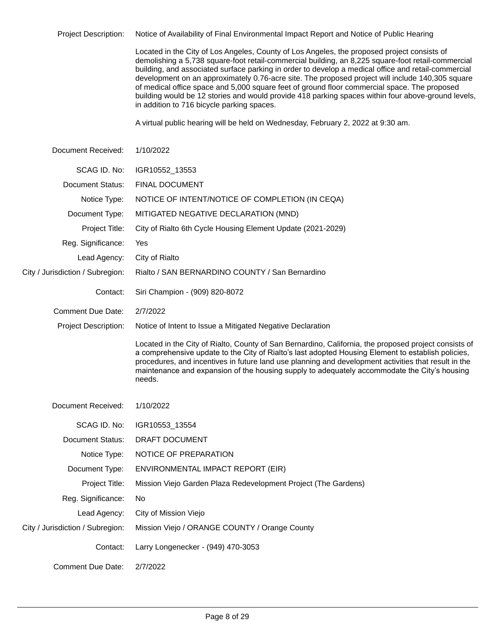Project Description: Notice of Availability of Final Environmental Impact Report and Notice of Public Hearing

Located in the City of Los Angeles, County of Los Angeles, the proposed project consists of demolishing a 5,738 square-foot retail-commercial building, an 8,225 square-foot retail-commercial building, and associated surface parking in order to develop a medical office and retail-commercial development on an approximately 0.76-acre site. The proposed project will include 140,305 square of medical office space and 5,000 square feet of ground floor commercial space. The proposed building would be 12 stories and would provide 418 parking spaces within four above-ground levels, in addition to 716 bicycle parking spaces.

A virtual public hearing will be held on Wednesday, February 2, 2022 at 9:30 am.

| Document Received:               | 1/10/2022                                                                                                                                                                                                                                                                                                                                                                                                                     |
|----------------------------------|-------------------------------------------------------------------------------------------------------------------------------------------------------------------------------------------------------------------------------------------------------------------------------------------------------------------------------------------------------------------------------------------------------------------------------|
| SCAG ID. No:                     | IGR10552_13553                                                                                                                                                                                                                                                                                                                                                                                                                |
| <b>Document Status:</b>          | <b>FINAL DOCUMENT</b>                                                                                                                                                                                                                                                                                                                                                                                                         |
| Notice Type:                     | NOTICE OF INTENT/NOTICE OF COMPLETION (IN CEQA)                                                                                                                                                                                                                                                                                                                                                                               |
| Document Type:                   | MITIGATED NEGATIVE DECLARATION (MND)                                                                                                                                                                                                                                                                                                                                                                                          |
| Project Title:                   | City of Rialto 6th Cycle Housing Element Update (2021-2029)                                                                                                                                                                                                                                                                                                                                                                   |
| Reg. Significance:               | Yes                                                                                                                                                                                                                                                                                                                                                                                                                           |
| Lead Agency:                     | City of Rialto                                                                                                                                                                                                                                                                                                                                                                                                                |
| City / Jurisdiction / Subregion: | Rialto / SAN BERNARDINO COUNTY / San Bernardino                                                                                                                                                                                                                                                                                                                                                                               |
| Contact:                         | Siri Champion - (909) 820-8072                                                                                                                                                                                                                                                                                                                                                                                                |
| <b>Comment Due Date:</b>         | 2/7/2022                                                                                                                                                                                                                                                                                                                                                                                                                      |
| <b>Project Description:</b>      | Notice of Intent to Issue a Mitigated Negative Declaration                                                                                                                                                                                                                                                                                                                                                                    |
|                                  | Located in the City of Rialto, County of San Bernardino, California, the proposed project consists of<br>a comprehensive update to the City of Rialto's last adopted Housing Element to establish policies,<br>procedures, and incentives in future land use planning and development activities that result in the<br>maintenance and expansion of the housing supply to adequately accommodate the City's housing<br>needs. |
| Document Received:               | 1/10/2022                                                                                                                                                                                                                                                                                                                                                                                                                     |
| SCAG ID. No:                     | IGR10553_13554                                                                                                                                                                                                                                                                                                                                                                                                                |
| Document Status:                 | DRAFT DOCUMENT                                                                                                                                                                                                                                                                                                                                                                                                                |
| Notice Type:                     | NOTICE OF PREPARATION                                                                                                                                                                                                                                                                                                                                                                                                         |
| Document Type:                   | ENVIRONMENTAL IMPACT REPORT (EIR)                                                                                                                                                                                                                                                                                                                                                                                             |
| Project Title:                   | Mission Viejo Garden Plaza Redevelopment Project (The Gardens)                                                                                                                                                                                                                                                                                                                                                                |
| Reg. Significance:               | No                                                                                                                                                                                                                                                                                                                                                                                                                            |
| Lead Agency:                     | City of Mission Viejo                                                                                                                                                                                                                                                                                                                                                                                                         |
| City / Jurisdiction / Subregion: | Mission Viejo / ORANGE COUNTY / Orange County                                                                                                                                                                                                                                                                                                                                                                                 |
| Contact:                         | Larry Longenecker - (949) 470-3053                                                                                                                                                                                                                                                                                                                                                                                            |
| <b>Comment Due Date:</b>         | 2/7/2022                                                                                                                                                                                                                                                                                                                                                                                                                      |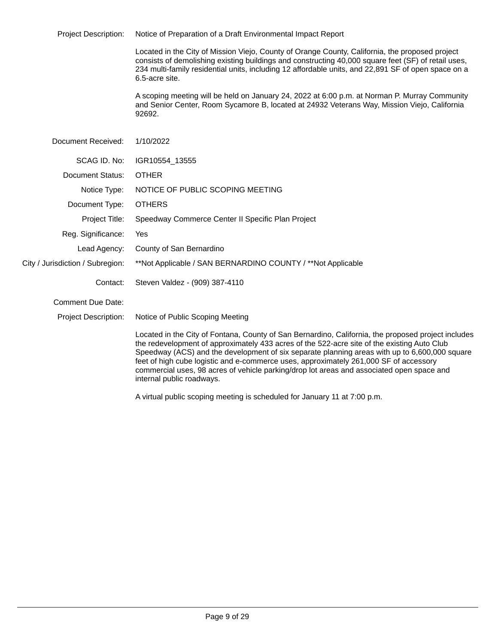Project Description: Notice of Preparation of a Draft Environmental Impact Report

Located in the City of Mission Viejo, County of Orange County, California, the proposed project consists of demolishing existing buildings and constructing 40,000 square feet (SF) of retail uses, 234 multi-family residential units, including 12 affordable units, and 22,891 SF of open space on a 6.5-acre site.

A scoping meeting will be held on January 24, 2022 at 6:00 p.m. at Norman P. Murray Community and Senior Center, Room Sycamore B, located at 24932 Veterans Way, Mission Viejo, California 92692.

| Document Received:               | 1/10/2022                                                                                                                                                                                                                                                                                                                                                                                                                                                                                                              |
|----------------------------------|------------------------------------------------------------------------------------------------------------------------------------------------------------------------------------------------------------------------------------------------------------------------------------------------------------------------------------------------------------------------------------------------------------------------------------------------------------------------------------------------------------------------|
| SCAG ID, No:                     | IGR10554 13555                                                                                                                                                                                                                                                                                                                                                                                                                                                                                                         |
| Document Status:                 | <b>OTHER</b>                                                                                                                                                                                                                                                                                                                                                                                                                                                                                                           |
| Notice Type:                     | NOTICE OF PUBLIC SCOPING MEETING                                                                                                                                                                                                                                                                                                                                                                                                                                                                                       |
| Document Type:                   | <b>OTHERS</b>                                                                                                                                                                                                                                                                                                                                                                                                                                                                                                          |
| Project Title:                   | Speedway Commerce Center II Specific Plan Project                                                                                                                                                                                                                                                                                                                                                                                                                                                                      |
| Reg. Significance:               | Yes                                                                                                                                                                                                                                                                                                                                                                                                                                                                                                                    |
| Lead Agency:                     | County of San Bernardino                                                                                                                                                                                                                                                                                                                                                                                                                                                                                               |
| City / Jurisdiction / Subregion: | **Not Applicable / SAN BERNARDINO COUNTY / **Not Applicable                                                                                                                                                                                                                                                                                                                                                                                                                                                            |
| Contact:                         | Steven Valdez - (909) 387-4110                                                                                                                                                                                                                                                                                                                                                                                                                                                                                         |
| Comment Due Date:                |                                                                                                                                                                                                                                                                                                                                                                                                                                                                                                                        |
| <b>Project Description:</b>      | Notice of Public Scoping Meeting                                                                                                                                                                                                                                                                                                                                                                                                                                                                                       |
|                                  | Located in the City of Fontana, County of San Bernardino, California, the proposed project includes<br>the redevelopment of approximately 433 acres of the 522-acre site of the existing Auto Club<br>Speedway (ACS) and the development of six separate planning areas with up to 6,600,000 square<br>feet of high cube logistic and e-commerce uses, approximately 261,000 SF of accessory<br>commercial uses, 98 acres of vehicle parking/drop lot areas and associated open space and<br>internal public roadways. |

A virtual public scoping meeting is scheduled for January 11 at 7:00 p.m.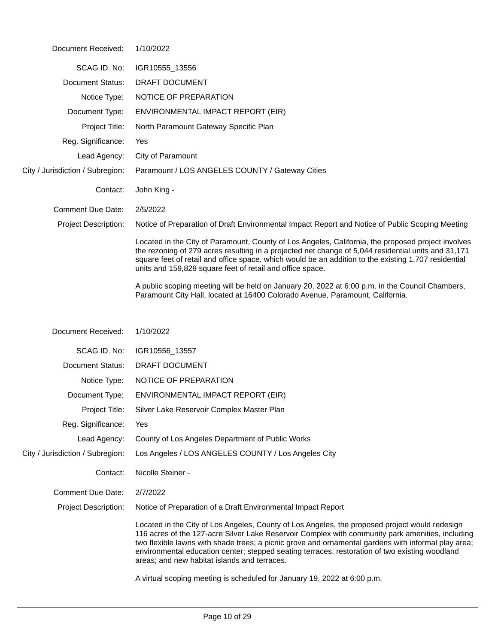| Document Received:               | 1/10/2022                                                                                                                                                                                                                                                                                                                                                                                                                                                   |
|----------------------------------|-------------------------------------------------------------------------------------------------------------------------------------------------------------------------------------------------------------------------------------------------------------------------------------------------------------------------------------------------------------------------------------------------------------------------------------------------------------|
| SCAG ID. No:                     | IGR10555_13556                                                                                                                                                                                                                                                                                                                                                                                                                                              |
| Document Status:                 | DRAFT DOCUMENT                                                                                                                                                                                                                                                                                                                                                                                                                                              |
| Notice Type:                     | NOTICE OF PREPARATION                                                                                                                                                                                                                                                                                                                                                                                                                                       |
| Document Type:                   | ENVIRONMENTAL IMPACT REPORT (EIR)                                                                                                                                                                                                                                                                                                                                                                                                                           |
| Project Title:                   | North Paramount Gateway Specific Plan                                                                                                                                                                                                                                                                                                                                                                                                                       |
| Reg. Significance:               | Yes                                                                                                                                                                                                                                                                                                                                                                                                                                                         |
| Lead Agency:                     | City of Paramount                                                                                                                                                                                                                                                                                                                                                                                                                                           |
| City / Jurisdiction / Subregion: | Paramount / LOS ANGELES COUNTY / Gateway Cities                                                                                                                                                                                                                                                                                                                                                                                                             |
| Contact:                         | John King -                                                                                                                                                                                                                                                                                                                                                                                                                                                 |
| Comment Due Date:                | 2/5/2022                                                                                                                                                                                                                                                                                                                                                                                                                                                    |
| <b>Project Description:</b>      | Notice of Preparation of Draft Environmental Impact Report and Notice of Public Scoping Meeting                                                                                                                                                                                                                                                                                                                                                             |
|                                  | Located in the City of Paramount, County of Los Angeles, California, the proposed project involves<br>the rezoning of 279 acres resulting in a projected net change of 5,044 residential units and 31,171<br>square feet of retail and office space, which would be an addition to the existing 1,707 residential<br>units and 159,829 square feet of retail and office space.                                                                              |
|                                  | A public scoping meeting will be held on January 20, 2022 at 6:00 p.m. in the Council Chambers,<br>Paramount City Hall, located at 16400 Colorado Avenue, Paramount, California.                                                                                                                                                                                                                                                                            |
|                                  |                                                                                                                                                                                                                                                                                                                                                                                                                                                             |
| Document Received:               | 1/10/2022                                                                                                                                                                                                                                                                                                                                                                                                                                                   |
| SCAG ID. No:                     | IGR10556_13557                                                                                                                                                                                                                                                                                                                                                                                                                                              |
| Document Status:                 | DRAFT DOCUMENT                                                                                                                                                                                                                                                                                                                                                                                                                                              |
| Notice Type:                     | NOTICE OF PREPARATION                                                                                                                                                                                                                                                                                                                                                                                                                                       |
| Document Type:                   | ENVIRONMENTAL IMPACT REPORT (EIR)                                                                                                                                                                                                                                                                                                                                                                                                                           |
| Project Title:                   | Silver Lake Reservoir Complex Master Plan                                                                                                                                                                                                                                                                                                                                                                                                                   |
| Reg. Significance:               | Yes                                                                                                                                                                                                                                                                                                                                                                                                                                                         |
| Lead Agency:                     | County of Los Angeles Department of Public Works                                                                                                                                                                                                                                                                                                                                                                                                            |
| City / Jurisdiction / Subregion: | Los Angeles / LOS ANGELES COUNTY / Los Angeles City                                                                                                                                                                                                                                                                                                                                                                                                         |
| Contact:                         | Nicolle Steiner -                                                                                                                                                                                                                                                                                                                                                                                                                                           |
| <b>Comment Due Date:</b>         | 2/7/2022                                                                                                                                                                                                                                                                                                                                                                                                                                                    |
| <b>Project Description:</b>      | Notice of Preparation of a Draft Environmental Impact Report                                                                                                                                                                                                                                                                                                                                                                                                |
|                                  | Located in the City of Los Angeles, County of Los Angeles, the proposed project would redesign<br>116 acres of the 127-acre Silver Lake Reservoir Complex with community park amenities, including<br>two flexible lawns with shade trees; a picnic grove and ornamental gardens with informal play area;<br>environmental education center; stepped seating terraces; restoration of two existing woodland<br>areas; and new habitat islands and terraces. |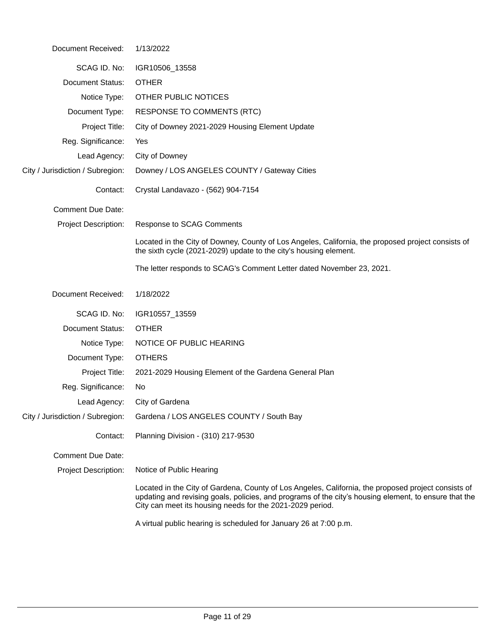| Document Received:               | 1/13/2022                                                                                                                                                                                                                                                                 |
|----------------------------------|---------------------------------------------------------------------------------------------------------------------------------------------------------------------------------------------------------------------------------------------------------------------------|
| SCAG ID. No:                     | IGR10506_13558                                                                                                                                                                                                                                                            |
| <b>Document Status:</b>          | <b>OTHER</b>                                                                                                                                                                                                                                                              |
| Notice Type:                     | OTHER PUBLIC NOTICES                                                                                                                                                                                                                                                      |
| Document Type:                   | <b>RESPONSE TO COMMENTS (RTC)</b>                                                                                                                                                                                                                                         |
| Project Title:                   | City of Downey 2021-2029 Housing Element Update                                                                                                                                                                                                                           |
| Reg. Significance:               | Yes                                                                                                                                                                                                                                                                       |
| Lead Agency:                     | City of Downey                                                                                                                                                                                                                                                            |
| City / Jurisdiction / Subregion: | Downey / LOS ANGELES COUNTY / Gateway Cities                                                                                                                                                                                                                              |
| Contact:                         | Crystal Landavazo - (562) 904-7154                                                                                                                                                                                                                                        |
| <b>Comment Due Date:</b>         |                                                                                                                                                                                                                                                                           |
| <b>Project Description:</b>      | Response to SCAG Comments                                                                                                                                                                                                                                                 |
|                                  | Located in the City of Downey, County of Los Angeles, California, the proposed project consists of<br>the sixth cycle (2021-2029) update to the city's housing element.                                                                                                   |
|                                  | The letter responds to SCAG's Comment Letter dated November 23, 2021.                                                                                                                                                                                                     |
| Document Received:               | 1/18/2022                                                                                                                                                                                                                                                                 |
| SCAG ID. No:                     | IGR10557_13559                                                                                                                                                                                                                                                            |
| <b>Document Status:</b>          | <b>OTHER</b>                                                                                                                                                                                                                                                              |
| Notice Type:                     | NOTICE OF PUBLIC HEARING                                                                                                                                                                                                                                                  |
| Document Type:                   | <b>OTHERS</b>                                                                                                                                                                                                                                                             |
| Project Title:                   | 2021-2029 Housing Element of the Gardena General Plan                                                                                                                                                                                                                     |
| Reg. Significance:               | No                                                                                                                                                                                                                                                                        |
| Lead Agency:                     | City of Gardena                                                                                                                                                                                                                                                           |
| City / Jurisdiction / Subregion: | Gardena / LOS ANGELES COUNTY / South Bay                                                                                                                                                                                                                                  |
| Contact:                         | Planning Division - (310) 217-9530                                                                                                                                                                                                                                        |
| <b>Comment Due Date:</b>         |                                                                                                                                                                                                                                                                           |
| Project Description:             | Notice of Public Hearing                                                                                                                                                                                                                                                  |
|                                  | Located in the City of Gardena, County of Los Angeles, California, the proposed project consists of<br>updating and revising goals, policies, and programs of the city's housing element, to ensure that the<br>City can meet its housing needs for the 2021-2029 period. |
|                                  | A virtual public hearing is scheduled for January 26 at 7:00 p.m.                                                                                                                                                                                                         |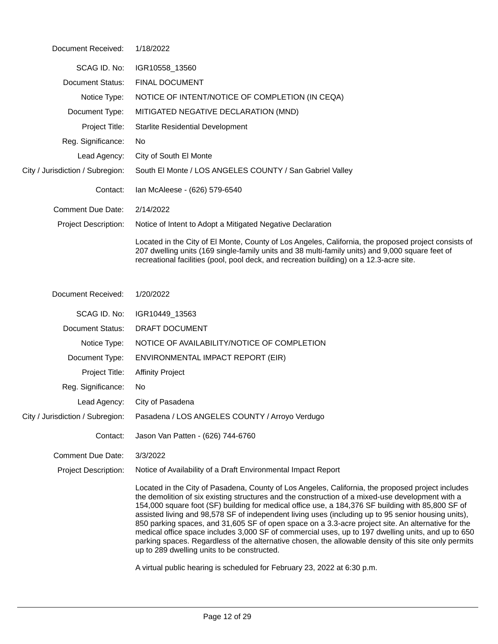| Document Received:               | 1/18/2022                                                                                                                                                                                                                                                                                                                                                                                                                                                                                                                                                                                                                                                                                                                                                                                                                                                         |
|----------------------------------|-------------------------------------------------------------------------------------------------------------------------------------------------------------------------------------------------------------------------------------------------------------------------------------------------------------------------------------------------------------------------------------------------------------------------------------------------------------------------------------------------------------------------------------------------------------------------------------------------------------------------------------------------------------------------------------------------------------------------------------------------------------------------------------------------------------------------------------------------------------------|
| SCAG ID. No:                     | IGR10558_13560                                                                                                                                                                                                                                                                                                                                                                                                                                                                                                                                                                                                                                                                                                                                                                                                                                                    |
| <b>Document Status:</b>          | <b>FINAL DOCUMENT</b>                                                                                                                                                                                                                                                                                                                                                                                                                                                                                                                                                                                                                                                                                                                                                                                                                                             |
| Notice Type:                     | NOTICE OF INTENT/NOTICE OF COMPLETION (IN CEQA)                                                                                                                                                                                                                                                                                                                                                                                                                                                                                                                                                                                                                                                                                                                                                                                                                   |
| Document Type:                   | MITIGATED NEGATIVE DECLARATION (MND)                                                                                                                                                                                                                                                                                                                                                                                                                                                                                                                                                                                                                                                                                                                                                                                                                              |
| Project Title:                   | <b>Starlite Residential Development</b>                                                                                                                                                                                                                                                                                                                                                                                                                                                                                                                                                                                                                                                                                                                                                                                                                           |
| Reg. Significance:               | No                                                                                                                                                                                                                                                                                                                                                                                                                                                                                                                                                                                                                                                                                                                                                                                                                                                                |
| Lead Agency:                     | City of South El Monte                                                                                                                                                                                                                                                                                                                                                                                                                                                                                                                                                                                                                                                                                                                                                                                                                                            |
| City / Jurisdiction / Subregion: | South El Monte / LOS ANGELES COUNTY / San Gabriel Valley                                                                                                                                                                                                                                                                                                                                                                                                                                                                                                                                                                                                                                                                                                                                                                                                          |
| Contact:                         | lan McAleese - (626) 579-6540                                                                                                                                                                                                                                                                                                                                                                                                                                                                                                                                                                                                                                                                                                                                                                                                                                     |
| <b>Comment Due Date:</b>         | 2/14/2022                                                                                                                                                                                                                                                                                                                                                                                                                                                                                                                                                                                                                                                                                                                                                                                                                                                         |
| <b>Project Description:</b>      | Notice of Intent to Adopt a Mitigated Negative Declaration                                                                                                                                                                                                                                                                                                                                                                                                                                                                                                                                                                                                                                                                                                                                                                                                        |
|                                  | Located in the City of El Monte, County of Los Angeles, California, the proposed project consists of<br>207 dwelling units (169 single-family units and 38 multi-family units) and 9,000 square feet of<br>recreational facilities (pool, pool deck, and recreation building) on a 12.3-acre site.                                                                                                                                                                                                                                                                                                                                                                                                                                                                                                                                                                |
| Document Received:               | 1/20/2022                                                                                                                                                                                                                                                                                                                                                                                                                                                                                                                                                                                                                                                                                                                                                                                                                                                         |
| SCAG ID. No:                     | IGR10449_13563                                                                                                                                                                                                                                                                                                                                                                                                                                                                                                                                                                                                                                                                                                                                                                                                                                                    |
| <b>Document Status:</b>          | DRAFT DOCUMENT                                                                                                                                                                                                                                                                                                                                                                                                                                                                                                                                                                                                                                                                                                                                                                                                                                                    |
| Notice Type:                     | NOTICE OF AVAILABILITY/NOTICE OF COMPLETION                                                                                                                                                                                                                                                                                                                                                                                                                                                                                                                                                                                                                                                                                                                                                                                                                       |
| Document Type:                   | ENVIRONMENTAL IMPACT REPORT (EIR)                                                                                                                                                                                                                                                                                                                                                                                                                                                                                                                                                                                                                                                                                                                                                                                                                                 |
| Project Title:                   | <b>Affinity Project</b>                                                                                                                                                                                                                                                                                                                                                                                                                                                                                                                                                                                                                                                                                                                                                                                                                                           |
| Reg. Significance:               | No                                                                                                                                                                                                                                                                                                                                                                                                                                                                                                                                                                                                                                                                                                                                                                                                                                                                |
| Lead Agency:                     | City of Pasadena                                                                                                                                                                                                                                                                                                                                                                                                                                                                                                                                                                                                                                                                                                                                                                                                                                                  |
| City / Jurisdiction / Subregion: | Pasadena / LOS ANGELES COUNTY / Arroyo Verdugo                                                                                                                                                                                                                                                                                                                                                                                                                                                                                                                                                                                                                                                                                                                                                                                                                    |
| Contact:                         | Jason Van Patten - (626) 744-6760                                                                                                                                                                                                                                                                                                                                                                                                                                                                                                                                                                                                                                                                                                                                                                                                                                 |
| <b>Comment Due Date:</b>         | 3/3/2022                                                                                                                                                                                                                                                                                                                                                                                                                                                                                                                                                                                                                                                                                                                                                                                                                                                          |
| <b>Project Description:</b>      | Notice of Availability of a Draft Environmental Impact Report                                                                                                                                                                                                                                                                                                                                                                                                                                                                                                                                                                                                                                                                                                                                                                                                     |
|                                  | Located in the City of Pasadena, County of Los Angeles, California, the proposed project includes<br>the demolition of six existing structures and the construction of a mixed-use development with a<br>154,000 square foot (SF) building for medical office use, a 184,376 SF building with 85,800 SF of<br>assisted living and 98,578 SF of independent living uses (including up to 95 senior housing units),<br>850 parking spaces, and 31,605 SF of open space on a 3.3-acre project site. An alternative for the<br>medical office space includes 3,000 SF of commercial uses, up to 197 dwelling units, and up to 650<br>parking spaces. Regardless of the alternative chosen, the allowable density of this site only permits<br>up to 289 dwelling units to be constructed.<br>A virtual public hearing is scheduled for February 23, 2022 at 6:30 p.m. |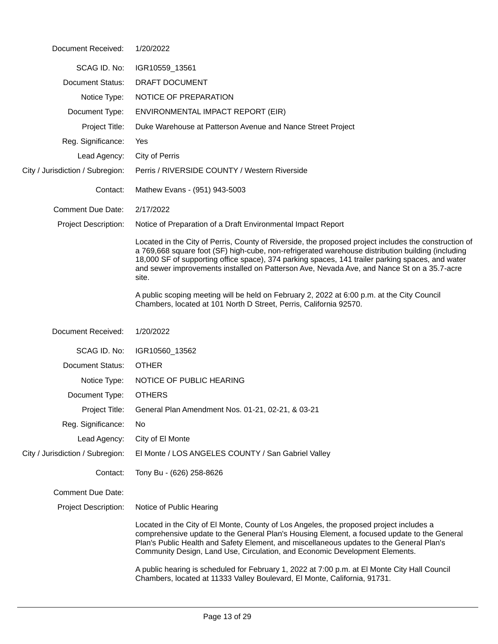| Document Received:               | 1/20/2022                                                                                                                                                                                                                                                                                                                                                                                                             |
|----------------------------------|-----------------------------------------------------------------------------------------------------------------------------------------------------------------------------------------------------------------------------------------------------------------------------------------------------------------------------------------------------------------------------------------------------------------------|
| SCAG ID. No:                     | IGR10559_13561                                                                                                                                                                                                                                                                                                                                                                                                        |
| <b>Document Status:</b>          | DRAFT DOCUMENT                                                                                                                                                                                                                                                                                                                                                                                                        |
| Notice Type:                     | NOTICE OF PREPARATION                                                                                                                                                                                                                                                                                                                                                                                                 |
| Document Type:                   | ENVIRONMENTAL IMPACT REPORT (EIR)                                                                                                                                                                                                                                                                                                                                                                                     |
| Project Title:                   | Duke Warehouse at Patterson Avenue and Nance Street Project                                                                                                                                                                                                                                                                                                                                                           |
| Reg. Significance:               | Yes                                                                                                                                                                                                                                                                                                                                                                                                                   |
| Lead Agency:                     | City of Perris                                                                                                                                                                                                                                                                                                                                                                                                        |
| City / Jurisdiction / Subregion: | Perris / RIVERSIDE COUNTY / Western Riverside                                                                                                                                                                                                                                                                                                                                                                         |
| Contact:                         | Mathew Evans - (951) 943-5003                                                                                                                                                                                                                                                                                                                                                                                         |
| <b>Comment Due Date:</b>         | 2/17/2022                                                                                                                                                                                                                                                                                                                                                                                                             |
| <b>Project Description:</b>      | Notice of Preparation of a Draft Environmental Impact Report                                                                                                                                                                                                                                                                                                                                                          |
|                                  | Located in the City of Perris, County of Riverside, the proposed project includes the construction of<br>a 769,668 square foot (SF) high-cube, non-refrigerated warehouse distribution building (including<br>18,000 SF of supporting office space), 374 parking spaces, 141 trailer parking spaces, and water<br>and sewer improvements installed on Patterson Ave, Nevada Ave, and Nance St on a 35.7-acre<br>site. |
|                                  | A public scoping meeting will be held on February 2, 2022 at 6:00 p.m. at the City Council<br>Chambers, located at 101 North D Street, Perris, California 92570.                                                                                                                                                                                                                                                      |
|                                  |                                                                                                                                                                                                                                                                                                                                                                                                                       |
| Document Received:               | 1/20/2022                                                                                                                                                                                                                                                                                                                                                                                                             |
| SCAG ID. No:                     | IGR10560_13562                                                                                                                                                                                                                                                                                                                                                                                                        |
| Document Status:                 | <b>OTHER</b>                                                                                                                                                                                                                                                                                                                                                                                                          |
| Notice Type:                     | NOTICE OF PUBLIC HEARING                                                                                                                                                                                                                                                                                                                                                                                              |
| Document Type:                   | <b>OTHERS</b>                                                                                                                                                                                                                                                                                                                                                                                                         |
|                                  | Project Title: General Plan Amendment Nos. 01-21, 02-21, & 03-21                                                                                                                                                                                                                                                                                                                                                      |
| Reg. Significance:               | No                                                                                                                                                                                                                                                                                                                                                                                                                    |
| Lead Agency:                     | City of El Monte                                                                                                                                                                                                                                                                                                                                                                                                      |
| City / Jurisdiction / Subregion: | El Monte / LOS ANGELES COUNTY / San Gabriel Valley                                                                                                                                                                                                                                                                                                                                                                    |
| Contact:                         | Tony Bu - (626) 258-8626                                                                                                                                                                                                                                                                                                                                                                                              |
| <b>Comment Due Date:</b>         |                                                                                                                                                                                                                                                                                                                                                                                                                       |
| <b>Project Description:</b>      | Notice of Public Hearing                                                                                                                                                                                                                                                                                                                                                                                              |
|                                  | Located in the City of El Monte, County of Los Angeles, the proposed project includes a<br>comprehensive update to the General Plan's Housing Element, a focused update to the General<br>Plan's Public Health and Safety Element, and miscellaneous updates to the General Plan's<br>Community Design, Land Use, Circulation, and Economic Development Elements.                                                     |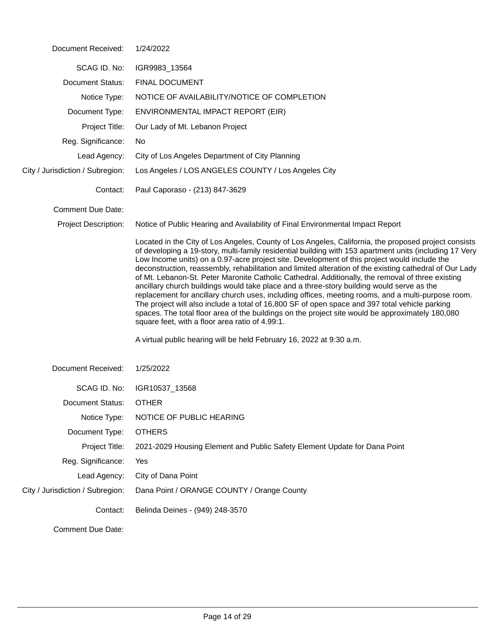| Document Received:               | 1/24/2022                                                                                                                                                                                                                                                                                                                                                                                                                                                                                                                                                                                                                                                                                                                                                                                                                                                                                                                                                                                   |  |
|----------------------------------|---------------------------------------------------------------------------------------------------------------------------------------------------------------------------------------------------------------------------------------------------------------------------------------------------------------------------------------------------------------------------------------------------------------------------------------------------------------------------------------------------------------------------------------------------------------------------------------------------------------------------------------------------------------------------------------------------------------------------------------------------------------------------------------------------------------------------------------------------------------------------------------------------------------------------------------------------------------------------------------------|--|
| SCAG ID. No:                     | IGR9983_13564                                                                                                                                                                                                                                                                                                                                                                                                                                                                                                                                                                                                                                                                                                                                                                                                                                                                                                                                                                               |  |
| <b>Document Status:</b>          | <b>FINAL DOCUMENT</b>                                                                                                                                                                                                                                                                                                                                                                                                                                                                                                                                                                                                                                                                                                                                                                                                                                                                                                                                                                       |  |
| Notice Type:                     | NOTICE OF AVAILABILITY/NOTICE OF COMPLETION                                                                                                                                                                                                                                                                                                                                                                                                                                                                                                                                                                                                                                                                                                                                                                                                                                                                                                                                                 |  |
| Document Type:                   | ENVIRONMENTAL IMPACT REPORT (EIR)                                                                                                                                                                                                                                                                                                                                                                                                                                                                                                                                                                                                                                                                                                                                                                                                                                                                                                                                                           |  |
| Project Title:                   | Our Lady of Mt. Lebanon Project                                                                                                                                                                                                                                                                                                                                                                                                                                                                                                                                                                                                                                                                                                                                                                                                                                                                                                                                                             |  |
| Reg. Significance:               | No.                                                                                                                                                                                                                                                                                                                                                                                                                                                                                                                                                                                                                                                                                                                                                                                                                                                                                                                                                                                         |  |
| Lead Agency:                     | City of Los Angeles Department of City Planning                                                                                                                                                                                                                                                                                                                                                                                                                                                                                                                                                                                                                                                                                                                                                                                                                                                                                                                                             |  |
| City / Jurisdiction / Subregion: | Los Angeles / LOS ANGELES COUNTY / Los Angeles City                                                                                                                                                                                                                                                                                                                                                                                                                                                                                                                                                                                                                                                                                                                                                                                                                                                                                                                                         |  |
| Contact:                         | Paul Caporaso - (213) 847-3629                                                                                                                                                                                                                                                                                                                                                                                                                                                                                                                                                                                                                                                                                                                                                                                                                                                                                                                                                              |  |
| <b>Comment Due Date:</b>         |                                                                                                                                                                                                                                                                                                                                                                                                                                                                                                                                                                                                                                                                                                                                                                                                                                                                                                                                                                                             |  |
| <b>Project Description:</b>      | Notice of Public Hearing and Availability of Final Environmental Impact Report                                                                                                                                                                                                                                                                                                                                                                                                                                                                                                                                                                                                                                                                                                                                                                                                                                                                                                              |  |
|                                  | Located in the City of Los Angeles, County of Los Angeles, California, the proposed project consists<br>of developing a 19-story, multi-family residential building with 153 apartment units (including 17 Very<br>Low Income units) on a 0.97-acre project site. Development of this project would include the<br>deconstruction, reassembly, rehabilitation and limited alteration of the existing cathedral of Our Lady<br>of Mt. Lebanon-St. Peter Maronite Catholic Cathedral. Additionally, the removal of three existing<br>ancillary church buildings would take place and a three-story building would serve as the<br>replacement for ancillary church uses, including offices, meeting rooms, and a multi-purpose room.<br>The project will also include a total of 16,800 SF of open space and 397 total vehicle parking<br>spaces. The total floor area of the buildings on the project site would be approximately 180,080<br>square feet, with a floor area ratio of 4.99:1. |  |
|                                  | A virtual public hearing will be held February 16, 2022 at 9:30 a.m.                                                                                                                                                                                                                                                                                                                                                                                                                                                                                                                                                                                                                                                                                                                                                                                                                                                                                                                        |  |
| Document Received:               | 1/25/2022                                                                                                                                                                                                                                                                                                                                                                                                                                                                                                                                                                                                                                                                                                                                                                                                                                                                                                                                                                                   |  |
| SCAG ID. No:                     | IGR10537_13568                                                                                                                                                                                                                                                                                                                                                                                                                                                                                                                                                                                                                                                                                                                                                                                                                                                                                                                                                                              |  |
| Document Status:                 | <b>OTHER</b>                                                                                                                                                                                                                                                                                                                                                                                                                                                                                                                                                                                                                                                                                                                                                                                                                                                                                                                                                                                |  |
| Notice Type:                     | NOTICE OF PUBLIC HEARING                                                                                                                                                                                                                                                                                                                                                                                                                                                                                                                                                                                                                                                                                                                                                                                                                                                                                                                                                                    |  |
| Document Type:                   | <b>OTHERS</b>                                                                                                                                                                                                                                                                                                                                                                                                                                                                                                                                                                                                                                                                                                                                                                                                                                                                                                                                                                               |  |
| Project Title:                   | 2021-2029 Housing Element and Public Safety Element Update for Dana Point                                                                                                                                                                                                                                                                                                                                                                                                                                                                                                                                                                                                                                                                                                                                                                                                                                                                                                                   |  |
| Reg. Significance:               | Yes                                                                                                                                                                                                                                                                                                                                                                                                                                                                                                                                                                                                                                                                                                                                                                                                                                                                                                                                                                                         |  |
| Lead Agency:                     | City of Dana Point                                                                                                                                                                                                                                                                                                                                                                                                                                                                                                                                                                                                                                                                                                                                                                                                                                                                                                                                                                          |  |
| City / Jurisdiction / Subregion: | Dana Point / ORANGE COUNTY / Orange County                                                                                                                                                                                                                                                                                                                                                                                                                                                                                                                                                                                                                                                                                                                                                                                                                                                                                                                                                  |  |
| Contact:                         | Belinda Deines - (949) 248-3570                                                                                                                                                                                                                                                                                                                                                                                                                                                                                                                                                                                                                                                                                                                                                                                                                                                                                                                                                             |  |
| <b>Comment Due Date:</b>         |                                                                                                                                                                                                                                                                                                                                                                                                                                                                                                                                                                                                                                                                                                                                                                                                                                                                                                                                                                                             |  |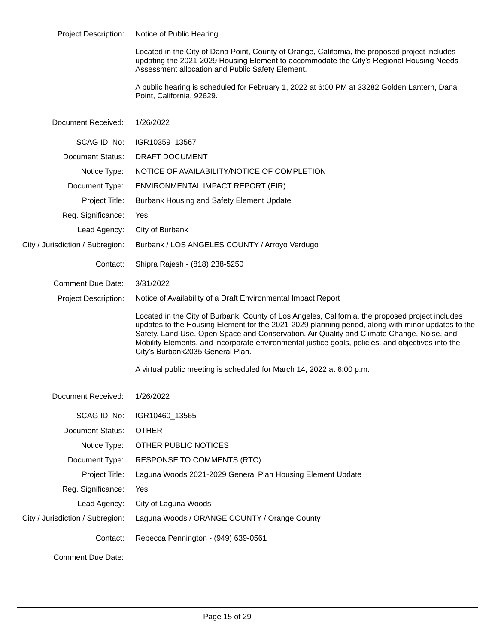| <b>Project Description:</b>      | Notice of Public Hearing                                                                                                                                                                                                                                                                                                                                                                                                                    |  |
|----------------------------------|---------------------------------------------------------------------------------------------------------------------------------------------------------------------------------------------------------------------------------------------------------------------------------------------------------------------------------------------------------------------------------------------------------------------------------------------|--|
|                                  | Located in the City of Dana Point, County of Orange, California, the proposed project includes<br>updating the 2021-2029 Housing Element to accommodate the City's Regional Housing Needs<br>Assessment allocation and Public Safety Element.                                                                                                                                                                                               |  |
|                                  | A public hearing is scheduled for February 1, 2022 at 6:00 PM at 33282 Golden Lantern, Dana<br>Point, California, 92629.                                                                                                                                                                                                                                                                                                                    |  |
| Document Received:               | 1/26/2022                                                                                                                                                                                                                                                                                                                                                                                                                                   |  |
| SCAG ID. No:                     | IGR10359_13567                                                                                                                                                                                                                                                                                                                                                                                                                              |  |
| <b>Document Status:</b>          | DRAFT DOCUMENT                                                                                                                                                                                                                                                                                                                                                                                                                              |  |
| Notice Type:                     | NOTICE OF AVAILABILITY/NOTICE OF COMPLETION                                                                                                                                                                                                                                                                                                                                                                                                 |  |
| Document Type:                   | ENVIRONMENTAL IMPACT REPORT (EIR)                                                                                                                                                                                                                                                                                                                                                                                                           |  |
| Project Title:                   | Burbank Housing and Safety Element Update                                                                                                                                                                                                                                                                                                                                                                                                   |  |
| Reg. Significance:               | Yes                                                                                                                                                                                                                                                                                                                                                                                                                                         |  |
| Lead Agency:                     | City of Burbank                                                                                                                                                                                                                                                                                                                                                                                                                             |  |
| City / Jurisdiction / Subregion: | Burbank / LOS ANGELES COUNTY / Arroyo Verdugo                                                                                                                                                                                                                                                                                                                                                                                               |  |
| Contact:                         | Shipra Rajesh - (818) 238-5250                                                                                                                                                                                                                                                                                                                                                                                                              |  |
| <b>Comment Due Date:</b>         | 3/31/2022                                                                                                                                                                                                                                                                                                                                                                                                                                   |  |
| <b>Project Description:</b>      | Notice of Availability of a Draft Environmental Impact Report                                                                                                                                                                                                                                                                                                                                                                               |  |
|                                  | Located in the City of Burbank, County of Los Angeles, California, the proposed project includes<br>updates to the Housing Element for the 2021-2029 planning period, along with minor updates to the<br>Safety, Land Use, Open Space and Conservation, Air Quality and Climate Change, Noise, and<br>Mobility Elements, and incorporate environmental justice goals, policies, and objectives into the<br>City's Burbank2035 General Plan. |  |
|                                  | A virtual public meeting is scheduled for March 14, 2022 at 6:00 p.m.                                                                                                                                                                                                                                                                                                                                                                       |  |
| Document Received:               | 1/26/2022                                                                                                                                                                                                                                                                                                                                                                                                                                   |  |
| SCAG ID. No:                     | IGR10460_13565                                                                                                                                                                                                                                                                                                                                                                                                                              |  |
| <b>Document Status:</b>          | <b>OTHER</b>                                                                                                                                                                                                                                                                                                                                                                                                                                |  |
| Notice Type:                     | OTHER PUBLIC NOTICES                                                                                                                                                                                                                                                                                                                                                                                                                        |  |
| Document Type:                   | <b>RESPONSE TO COMMENTS (RTC)</b>                                                                                                                                                                                                                                                                                                                                                                                                           |  |
| Project Title:                   | Laguna Woods 2021-2029 General Plan Housing Element Update                                                                                                                                                                                                                                                                                                                                                                                  |  |
| Reg. Significance:               | Yes                                                                                                                                                                                                                                                                                                                                                                                                                                         |  |
| Lead Agency:                     | City of Laguna Woods                                                                                                                                                                                                                                                                                                                                                                                                                        |  |
| City / Jurisdiction / Subregion: | Laguna Woods / ORANGE COUNTY / Orange County                                                                                                                                                                                                                                                                                                                                                                                                |  |
| Contact:                         | Rebecca Pennington - (949) 639-0561                                                                                                                                                                                                                                                                                                                                                                                                         |  |
| <b>Comment Due Date:</b>         |                                                                                                                                                                                                                                                                                                                                                                                                                                             |  |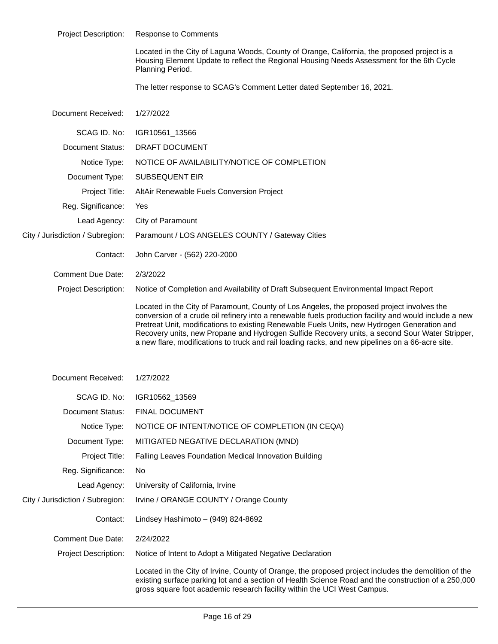| <b>Project Description:</b>      | <b>Response to Comments</b>                                                                                                                                                                                                                                                                                                                                                                                                                                                                              |  |
|----------------------------------|----------------------------------------------------------------------------------------------------------------------------------------------------------------------------------------------------------------------------------------------------------------------------------------------------------------------------------------------------------------------------------------------------------------------------------------------------------------------------------------------------------|--|
|                                  | Located in the City of Laguna Woods, County of Orange, California, the proposed project is a<br>Housing Element Update to reflect the Regional Housing Needs Assessment for the 6th Cycle<br>Planning Period.                                                                                                                                                                                                                                                                                            |  |
|                                  | The letter response to SCAG's Comment Letter dated September 16, 2021.                                                                                                                                                                                                                                                                                                                                                                                                                                   |  |
| Document Received:               | 1/27/2022                                                                                                                                                                                                                                                                                                                                                                                                                                                                                                |  |
| SCAG ID. No:                     | IGR10561_13566                                                                                                                                                                                                                                                                                                                                                                                                                                                                                           |  |
| <b>Document Status:</b>          | DRAFT DOCUMENT                                                                                                                                                                                                                                                                                                                                                                                                                                                                                           |  |
| Notice Type:                     | NOTICE OF AVAILABILITY/NOTICE OF COMPLETION                                                                                                                                                                                                                                                                                                                                                                                                                                                              |  |
| Document Type:                   | <b>SUBSEQUENT EIR</b>                                                                                                                                                                                                                                                                                                                                                                                                                                                                                    |  |
| Project Title:                   | AltAir Renewable Fuels Conversion Project                                                                                                                                                                                                                                                                                                                                                                                                                                                                |  |
| Reg. Significance:               | Yes                                                                                                                                                                                                                                                                                                                                                                                                                                                                                                      |  |
| Lead Agency:                     | City of Paramount                                                                                                                                                                                                                                                                                                                                                                                                                                                                                        |  |
| City / Jurisdiction / Subregion: | Paramount / LOS ANGELES COUNTY / Gateway Cities                                                                                                                                                                                                                                                                                                                                                                                                                                                          |  |
| Contact:                         | John Carver - (562) 220-2000                                                                                                                                                                                                                                                                                                                                                                                                                                                                             |  |
| <b>Comment Due Date:</b>         | 2/3/2022                                                                                                                                                                                                                                                                                                                                                                                                                                                                                                 |  |
| <b>Project Description:</b>      | Notice of Completion and Availability of Draft Subsequent Environmental Impact Report                                                                                                                                                                                                                                                                                                                                                                                                                    |  |
|                                  | Located in the City of Paramount, County of Los Angeles, the proposed project involves the<br>conversion of a crude oil refinery into a renewable fuels production facility and would include a new<br>Pretreat Unit, modifications to existing Renewable Fuels Units, new Hydrogen Generation and<br>Recovery units, new Propane and Hydrogen Sulfide Recovery units, a second Sour Water Stripper,<br>a new flare, modifications to truck and rail loading racks, and new pipelines on a 66-acre site. |  |
| Document Received:               | 1/27/2022                                                                                                                                                                                                                                                                                                                                                                                                                                                                                                |  |
| SCAG ID. No:                     | IGR10562_13569                                                                                                                                                                                                                                                                                                                                                                                                                                                                                           |  |
| Document Status:                 | FINAL DOCUMENT                                                                                                                                                                                                                                                                                                                                                                                                                                                                                           |  |
| Notice Type:                     | NOTICE OF INTENT/NOTICE OF COMPLETION (IN CEQA)                                                                                                                                                                                                                                                                                                                                                                                                                                                          |  |
| Document Type:                   | MITIGATED NEGATIVE DECLARATION (MND)                                                                                                                                                                                                                                                                                                                                                                                                                                                                     |  |
| Project Title:                   | Falling Leaves Foundation Medical Innovation Building                                                                                                                                                                                                                                                                                                                                                                                                                                                    |  |
| Reg. Significance:               | No                                                                                                                                                                                                                                                                                                                                                                                                                                                                                                       |  |
| Lead Agency:                     | University of California, Irvine                                                                                                                                                                                                                                                                                                                                                                                                                                                                         |  |
| City / Jurisdiction / Subregion: | Irvine / ORANGE COUNTY / Orange County                                                                                                                                                                                                                                                                                                                                                                                                                                                                   |  |
| Contact:                         | Lindsey Hashimoto $-$ (949) 824-8692                                                                                                                                                                                                                                                                                                                                                                                                                                                                     |  |
| <b>Comment Due Date:</b>         | 2/24/2022                                                                                                                                                                                                                                                                                                                                                                                                                                                                                                |  |
| <b>Project Description:</b>      | Notice of Intent to Adopt a Mitigated Negative Declaration                                                                                                                                                                                                                                                                                                                                                                                                                                               |  |
|                                  | Located in the City of Irvine, County of Orange, the proposed project includes the demolition of the<br>existing surface parking lot and a section of Health Science Road and the construction of a 250,000                                                                                                                                                                                                                                                                                              |  |

existing surface parking lot and a section of Health Science Road and the construction of a 250,000 gross square foot academic research facility within the UCI West Campus.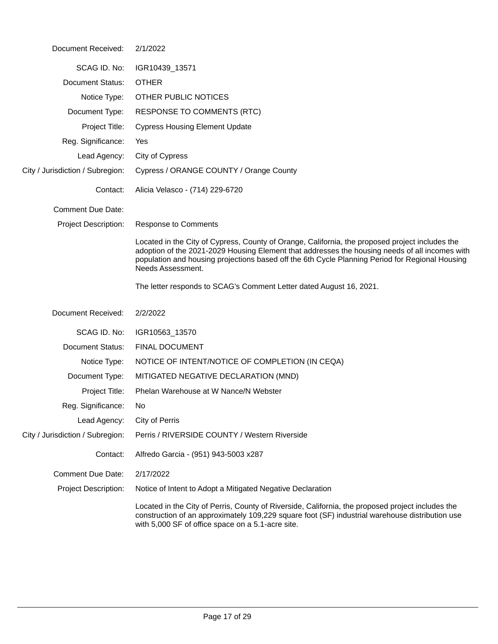| Document Received:               | 2/1/2022                                                                                                                                                                                                                                                                                                                  |  |
|----------------------------------|---------------------------------------------------------------------------------------------------------------------------------------------------------------------------------------------------------------------------------------------------------------------------------------------------------------------------|--|
| SCAG ID. No:                     | IGR10439_13571                                                                                                                                                                                                                                                                                                            |  |
| <b>Document Status:</b>          | <b>OTHER</b>                                                                                                                                                                                                                                                                                                              |  |
| Notice Type:                     | OTHER PUBLIC NOTICES                                                                                                                                                                                                                                                                                                      |  |
| Document Type:                   | <b>RESPONSE TO COMMENTS (RTC)</b>                                                                                                                                                                                                                                                                                         |  |
| Project Title:                   | <b>Cypress Housing Element Update</b>                                                                                                                                                                                                                                                                                     |  |
| Reg. Significance:               | Yes                                                                                                                                                                                                                                                                                                                       |  |
| Lead Agency:                     | City of Cypress                                                                                                                                                                                                                                                                                                           |  |
| City / Jurisdiction / Subregion: | Cypress / ORANGE COUNTY / Orange County                                                                                                                                                                                                                                                                                   |  |
| Contact:                         | Alicia Velasco - (714) 229-6720                                                                                                                                                                                                                                                                                           |  |
| <b>Comment Due Date:</b>         |                                                                                                                                                                                                                                                                                                                           |  |
| <b>Project Description:</b>      | <b>Response to Comments</b>                                                                                                                                                                                                                                                                                               |  |
|                                  | Located in the City of Cypress, County of Orange, California, the proposed project includes the<br>adoption of the 2021-2029 Housing Element that addresses the housing needs of all incomes with<br>population and housing projections based off the 6th Cycle Planning Period for Regional Housing<br>Needs Assessment. |  |
|                                  | The letter responds to SCAG's Comment Letter dated August 16, 2021.                                                                                                                                                                                                                                                       |  |
| Document Received:               | 2/2/2022                                                                                                                                                                                                                                                                                                                  |  |
| SCAG ID. No:                     | IGR10563_13570                                                                                                                                                                                                                                                                                                            |  |
| <b>Document Status:</b>          | <b>FINAL DOCUMENT</b>                                                                                                                                                                                                                                                                                                     |  |
| Notice Type:                     | NOTICE OF INTENT/NOTICE OF COMPLETION (IN CEQA)                                                                                                                                                                                                                                                                           |  |
| Document Type:                   | MITIGATED NEGATIVE DECLARATION (MND)                                                                                                                                                                                                                                                                                      |  |
| Project Title:                   | Phelan Warehouse at W Nance/N Webster                                                                                                                                                                                                                                                                                     |  |
| Reg. Significance:               | No.                                                                                                                                                                                                                                                                                                                       |  |
| Lead Agency:                     | City of Perris                                                                                                                                                                                                                                                                                                            |  |
| City / Jurisdiction / Subregion: | Perris / RIVERSIDE COUNTY / Western Riverside                                                                                                                                                                                                                                                                             |  |
| Contact:                         | Alfredo Garcia - (951) 943-5003 x287                                                                                                                                                                                                                                                                                      |  |
| <b>Comment Due Date:</b>         | 2/17/2022                                                                                                                                                                                                                                                                                                                 |  |
| <b>Project Description:</b>      | Notice of Intent to Adopt a Mitigated Negative Declaration                                                                                                                                                                                                                                                                |  |
|                                  | Located in the City of Perris, County of Riverside, California, the proposed project includes the<br>construction of an approximately 109,229 square foot (SF) industrial warehouse distribution use<br>with 5,000 SF of office space on a 5.1-acre site.                                                                 |  |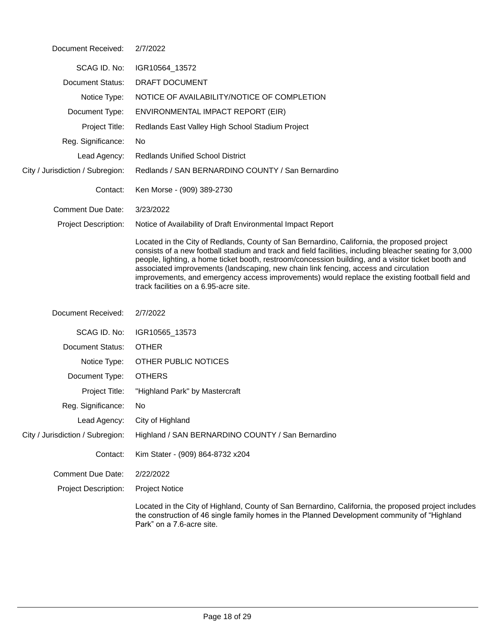| Document Received:               | 2/7/2022                                                                                                                                                                                                                                                                                                                                                                                                                                                                                                                                         |  |
|----------------------------------|--------------------------------------------------------------------------------------------------------------------------------------------------------------------------------------------------------------------------------------------------------------------------------------------------------------------------------------------------------------------------------------------------------------------------------------------------------------------------------------------------------------------------------------------------|--|
| SCAG ID. No:                     | IGR10564_13572                                                                                                                                                                                                                                                                                                                                                                                                                                                                                                                                   |  |
| <b>Document Status:</b>          | DRAFT DOCUMENT                                                                                                                                                                                                                                                                                                                                                                                                                                                                                                                                   |  |
| Notice Type:                     | NOTICE OF AVAILABILITY/NOTICE OF COMPLETION                                                                                                                                                                                                                                                                                                                                                                                                                                                                                                      |  |
| Document Type:                   | ENVIRONMENTAL IMPACT REPORT (EIR)                                                                                                                                                                                                                                                                                                                                                                                                                                                                                                                |  |
| Project Title:                   | Redlands East Valley High School Stadium Project                                                                                                                                                                                                                                                                                                                                                                                                                                                                                                 |  |
| Reg. Significance:               | No.                                                                                                                                                                                                                                                                                                                                                                                                                                                                                                                                              |  |
| Lead Agency:                     | <b>Redlands Unified School District</b>                                                                                                                                                                                                                                                                                                                                                                                                                                                                                                          |  |
| City / Jurisdiction / Subregion: | Redlands / SAN BERNARDINO COUNTY / San Bernardino                                                                                                                                                                                                                                                                                                                                                                                                                                                                                                |  |
| Contact:                         | Ken Morse - (909) 389-2730                                                                                                                                                                                                                                                                                                                                                                                                                                                                                                                       |  |
| Comment Due Date:                | 3/23/2022                                                                                                                                                                                                                                                                                                                                                                                                                                                                                                                                        |  |
| <b>Project Description:</b>      | Notice of Availability of Draft Environmental Impact Report                                                                                                                                                                                                                                                                                                                                                                                                                                                                                      |  |
|                                  | Located in the City of Redlands, County of San Bernardino, California, the proposed project<br>consists of a new football stadium and track and field facilities, including bleacher seating for 3,000<br>people, lighting, a home ticket booth, restroom/concession building, and a visitor ticket booth and<br>associated improvements (landscaping, new chain link fencing, access and circulation<br>improvements, and emergency access improvements) would replace the existing football field and<br>track facilities on a 6.95-acre site. |  |
| Document Received:               | 2/7/2022                                                                                                                                                                                                                                                                                                                                                                                                                                                                                                                                         |  |
| SCAG ID. No:                     | IGR10565_13573                                                                                                                                                                                                                                                                                                                                                                                                                                                                                                                                   |  |
| <b>Document Status:</b>          | <b>OTHER</b>                                                                                                                                                                                                                                                                                                                                                                                                                                                                                                                                     |  |
| Notice Type:                     | OTHER PUBLIC NOTICES                                                                                                                                                                                                                                                                                                                                                                                                                                                                                                                             |  |
| Document Type:                   | <b>OTHERS</b>                                                                                                                                                                                                                                                                                                                                                                                                                                                                                                                                    |  |
| Project Title:                   | "Highland Park" by Mastercraft                                                                                                                                                                                                                                                                                                                                                                                                                                                                                                                   |  |
| Reg. Significance:               | No                                                                                                                                                                                                                                                                                                                                                                                                                                                                                                                                               |  |
| Lead Agency:                     | City of Highland                                                                                                                                                                                                                                                                                                                                                                                                                                                                                                                                 |  |
| City / Jurisdiction / Subregion: | Highland / SAN BERNARDINO COUNTY / San Bernardino                                                                                                                                                                                                                                                                                                                                                                                                                                                                                                |  |
| Contact:                         | Kim Stater - (909) 864-8732 x204                                                                                                                                                                                                                                                                                                                                                                                                                                                                                                                 |  |
| <b>Comment Due Date:</b>         | 2/22/2022                                                                                                                                                                                                                                                                                                                                                                                                                                                                                                                                        |  |
| <b>Project Description:</b>      | <b>Project Notice</b>                                                                                                                                                                                                                                                                                                                                                                                                                                                                                                                            |  |
|                                  | Located in the City of Highland, County of San Bernardino, California, the proposed project includes<br>the construction of 46 single family homes in the Planned Development community of "Highland<br>Park" on a 7.6-acre site.                                                                                                                                                                                                                                                                                                                |  |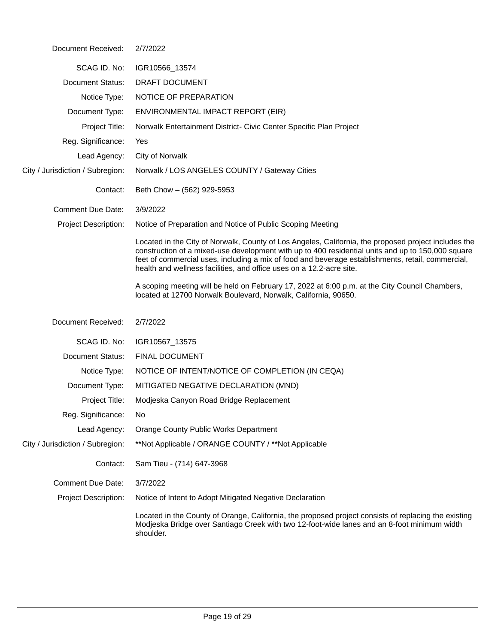| Document Received:               | 2/7/2022                                                                                                                                                                                                                                                                                                                                                                               |  |  |
|----------------------------------|----------------------------------------------------------------------------------------------------------------------------------------------------------------------------------------------------------------------------------------------------------------------------------------------------------------------------------------------------------------------------------------|--|--|
| SCAG ID. No:                     | IGR10566_13574                                                                                                                                                                                                                                                                                                                                                                         |  |  |
| <b>Document Status:</b>          | DRAFT DOCUMENT                                                                                                                                                                                                                                                                                                                                                                         |  |  |
| Notice Type:                     | NOTICE OF PREPARATION                                                                                                                                                                                                                                                                                                                                                                  |  |  |
| Document Type:                   | ENVIRONMENTAL IMPACT REPORT (EIR)                                                                                                                                                                                                                                                                                                                                                      |  |  |
| Project Title:                   | Norwalk Entertainment District- Civic Center Specific Plan Project                                                                                                                                                                                                                                                                                                                     |  |  |
| Reg. Significance:               | Yes                                                                                                                                                                                                                                                                                                                                                                                    |  |  |
| Lead Agency:                     | City of Norwalk                                                                                                                                                                                                                                                                                                                                                                        |  |  |
| City / Jurisdiction / Subregion: | Norwalk / LOS ANGELES COUNTY / Gateway Cities                                                                                                                                                                                                                                                                                                                                          |  |  |
| Contact:                         | Beth Chow - (562) 929-5953                                                                                                                                                                                                                                                                                                                                                             |  |  |
| <b>Comment Due Date:</b>         | 3/9/2022                                                                                                                                                                                                                                                                                                                                                                               |  |  |
| Project Description:             | Notice of Preparation and Notice of Public Scoping Meeting                                                                                                                                                                                                                                                                                                                             |  |  |
|                                  | Located in the City of Norwalk, County of Los Angeles, California, the proposed project includes the<br>construction of a mixed-use development with up to 400 residential units and up to 150,000 square<br>feet of commercial uses, including a mix of food and beverage establishments, retail, commercial,<br>health and wellness facilities, and office uses on a 12.2-acre site. |  |  |
|                                  | A scoping meeting will be held on February 17, 2022 at 6:00 p.m. at the City Council Chambers,<br>located at 12700 Norwalk Boulevard, Norwalk, California, 90650.                                                                                                                                                                                                                      |  |  |
| Document Received:               | 2/7/2022                                                                                                                                                                                                                                                                                                                                                                               |  |  |
| SCAG ID. No:                     | IGR10567_13575                                                                                                                                                                                                                                                                                                                                                                         |  |  |
| <b>Document Status:</b>          | <b>FINAL DOCUMENT</b>                                                                                                                                                                                                                                                                                                                                                                  |  |  |
| Notice Type:                     | NOTICE OF INTENT/NOTICE OF COMPLETION (IN CEQA)                                                                                                                                                                                                                                                                                                                                        |  |  |
| Document Type:                   | MITIGATED NEGATIVE DECLARATION (MND)                                                                                                                                                                                                                                                                                                                                                   |  |  |
| Project Title:                   | Modjeska Canyon Road Bridge Replacement                                                                                                                                                                                                                                                                                                                                                |  |  |
| Reg. Significance:               | No                                                                                                                                                                                                                                                                                                                                                                                     |  |  |
| Lead Agency:                     | Orange County Public Works Department                                                                                                                                                                                                                                                                                                                                                  |  |  |
| City / Jurisdiction / Subregion: | **Not Applicable / ORANGE COUNTY / **Not Applicable                                                                                                                                                                                                                                                                                                                                    |  |  |
| Contact:                         | Sam Tieu - (714) 647-3968                                                                                                                                                                                                                                                                                                                                                              |  |  |
| <b>Comment Due Date:</b>         | 3/7/2022                                                                                                                                                                                                                                                                                                                                                                               |  |  |
| <b>Project Description:</b>      | Notice of Intent to Adopt Mitigated Negative Declaration                                                                                                                                                                                                                                                                                                                               |  |  |
|                                  | Located in the County of Orange, California, the proposed project consists of replacing the existing<br>Modjeska Bridge over Santiago Creek with two 12-foot-wide lanes and an 8-foot minimum width<br>shoulder.                                                                                                                                                                       |  |  |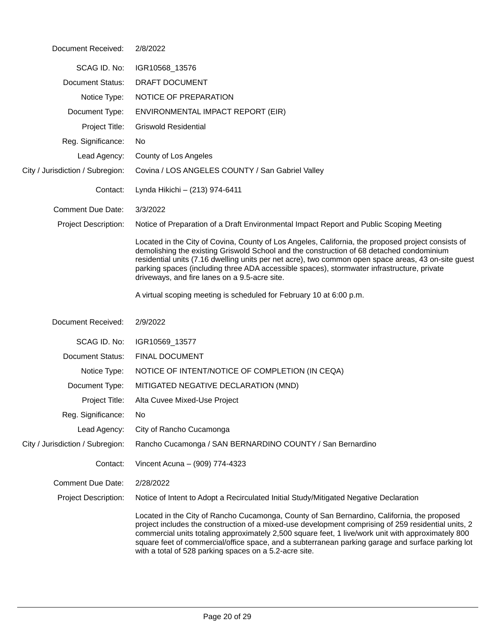| Document Received:               | 2/8/2022                                                                                                                                                                                                                                                                                                                                                                                                                                                                |
|----------------------------------|-------------------------------------------------------------------------------------------------------------------------------------------------------------------------------------------------------------------------------------------------------------------------------------------------------------------------------------------------------------------------------------------------------------------------------------------------------------------------|
| SCAG ID. No:                     | IGR10568_13576                                                                                                                                                                                                                                                                                                                                                                                                                                                          |
| <b>Document Status:</b>          | DRAFT DOCUMENT                                                                                                                                                                                                                                                                                                                                                                                                                                                          |
| Notice Type:                     | NOTICE OF PREPARATION                                                                                                                                                                                                                                                                                                                                                                                                                                                   |
| Document Type:                   | ENVIRONMENTAL IMPACT REPORT (EIR)                                                                                                                                                                                                                                                                                                                                                                                                                                       |
| Project Title:                   | <b>Griswold Residential</b>                                                                                                                                                                                                                                                                                                                                                                                                                                             |
| Reg. Significance:               | No                                                                                                                                                                                                                                                                                                                                                                                                                                                                      |
| Lead Agency:                     | County of Los Angeles                                                                                                                                                                                                                                                                                                                                                                                                                                                   |
| City / Jurisdiction / Subregion: | Covina / LOS ANGELES COUNTY / San Gabriel Valley                                                                                                                                                                                                                                                                                                                                                                                                                        |
| Contact:                         | Lynda Hikichi - (213) 974-6411                                                                                                                                                                                                                                                                                                                                                                                                                                          |
| <b>Comment Due Date:</b>         | 3/3/2022                                                                                                                                                                                                                                                                                                                                                                                                                                                                |
| <b>Project Description:</b>      | Notice of Preparation of a Draft Environmental Impact Report and Public Scoping Meeting                                                                                                                                                                                                                                                                                                                                                                                 |
|                                  | Located in the City of Covina, County of Los Angeles, California, the proposed project consists of<br>demolishing the existing Griswold School and the construction of 68 detached condominium<br>residential units (7.16 dwelling units per net acre), two common open space areas, 43 on-site guest<br>parking spaces (including three ADA accessible spaces), stormwater infrastructure, private<br>driveways, and fire lanes on a 9.5-acre site.                    |
|                                  | A virtual scoping meeting is scheduled for February 10 at 6:00 p.m.                                                                                                                                                                                                                                                                                                                                                                                                     |
| Document Received:               | 2/9/2022                                                                                                                                                                                                                                                                                                                                                                                                                                                                |
| SCAG ID. No:                     | IGR10569_13577                                                                                                                                                                                                                                                                                                                                                                                                                                                          |
| <b>Document Status:</b>          | <b>FINAL DOCUMENT</b>                                                                                                                                                                                                                                                                                                                                                                                                                                                   |
| Notice Type:                     | NOTICE OF INTENT/NOTICE OF COMPLETION (IN CEQA)                                                                                                                                                                                                                                                                                                                                                                                                                         |
| Document Type:                   | MITIGATED NEGATIVE DECLARATION (MND)                                                                                                                                                                                                                                                                                                                                                                                                                                    |
| Project Title:                   | Alta Cuvee Mixed-Use Project                                                                                                                                                                                                                                                                                                                                                                                                                                            |
| Reg. Significance:               | No                                                                                                                                                                                                                                                                                                                                                                                                                                                                      |
| Lead Agency:                     | City of Rancho Cucamonga                                                                                                                                                                                                                                                                                                                                                                                                                                                |
| City / Jurisdiction / Subregion: | Rancho Cucamonga / SAN BERNARDINO COUNTY / San Bernardino                                                                                                                                                                                                                                                                                                                                                                                                               |
| Contact:                         | Vincent Acuna - (909) 774-4323                                                                                                                                                                                                                                                                                                                                                                                                                                          |
| <b>Comment Due Date:</b>         | 2/28/2022                                                                                                                                                                                                                                                                                                                                                                                                                                                               |
| <b>Project Description:</b>      | Notice of Intent to Adopt a Recirculated Initial Study/Mitigated Negative Declaration                                                                                                                                                                                                                                                                                                                                                                                   |
|                                  | Located in the City of Rancho Cucamonga, County of San Bernardino, California, the proposed<br>project includes the construction of a mixed-use development comprising of 259 residential units, 2<br>commercial units totaling approximately 2,500 square feet, 1 live/work unit with approximately 800<br>square feet of commercial/office space, and a subterranean parking garage and surface parking lot<br>with a total of 528 parking spaces on a 5.2-acre site. |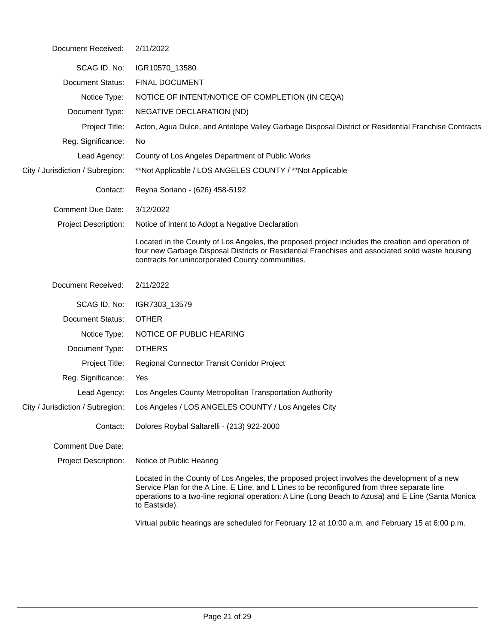| Document Received:               | 2/11/2022                                                                                                                                                                                                                                                                                                           |  |  |
|----------------------------------|---------------------------------------------------------------------------------------------------------------------------------------------------------------------------------------------------------------------------------------------------------------------------------------------------------------------|--|--|
| SCAG ID. No:                     | IGR10570_13580                                                                                                                                                                                                                                                                                                      |  |  |
| <b>Document Status:</b>          | <b>FINAL DOCUMENT</b>                                                                                                                                                                                                                                                                                               |  |  |
| Notice Type:                     | NOTICE OF INTENT/NOTICE OF COMPLETION (IN CEQA)                                                                                                                                                                                                                                                                     |  |  |
| Document Type:                   | NEGATIVE DECLARATION (ND)                                                                                                                                                                                                                                                                                           |  |  |
| Project Title:                   | Acton, Agua Dulce, and Antelope Valley Garbage Disposal District or Residential Franchise Contracts                                                                                                                                                                                                                 |  |  |
| Reg. Significance:               | No                                                                                                                                                                                                                                                                                                                  |  |  |
| Lead Agency:                     | County of Los Angeles Department of Public Works                                                                                                                                                                                                                                                                    |  |  |
| City / Jurisdiction / Subregion: | **Not Applicable / LOS ANGELES COUNTY / **Not Applicable                                                                                                                                                                                                                                                            |  |  |
| Contact:                         | Reyna Soriano - (626) 458-5192                                                                                                                                                                                                                                                                                      |  |  |
| <b>Comment Due Date:</b>         | 3/12/2022                                                                                                                                                                                                                                                                                                           |  |  |
| <b>Project Description:</b>      | Notice of Intent to Adopt a Negative Declaration                                                                                                                                                                                                                                                                    |  |  |
|                                  | Located in the County of Los Angeles, the proposed project includes the creation and operation of<br>four new Garbage Disposal Districts or Residential Franchises and associated solid waste housing<br>contracts for unincorporated County communities.                                                           |  |  |
| Document Received:               | 2/11/2022                                                                                                                                                                                                                                                                                                           |  |  |
| SCAG ID. No:                     | IGR7303_13579                                                                                                                                                                                                                                                                                                       |  |  |
| Document Status:                 | <b>OTHER</b>                                                                                                                                                                                                                                                                                                        |  |  |
| Notice Type:                     | NOTICE OF PUBLIC HEARING                                                                                                                                                                                                                                                                                            |  |  |
| Document Type:                   | <b>OTHERS</b>                                                                                                                                                                                                                                                                                                       |  |  |
| Project Title:                   | Regional Connector Transit Corridor Project                                                                                                                                                                                                                                                                         |  |  |
| Reg. Significance:               | Yes                                                                                                                                                                                                                                                                                                                 |  |  |
| Lead Agency:                     | Los Angeles County Metropolitan Transportation Authority                                                                                                                                                                                                                                                            |  |  |
|                                  | City / Jurisdiction / Subregion: Los Angeles / LOS ANGELES COUNTY / Los Angeles City                                                                                                                                                                                                                                |  |  |
| Contact:                         | Dolores Roybal Saltarelli - (213) 922-2000                                                                                                                                                                                                                                                                          |  |  |
| <b>Comment Due Date:</b>         |                                                                                                                                                                                                                                                                                                                     |  |  |
| <b>Project Description:</b>      | Notice of Public Hearing                                                                                                                                                                                                                                                                                            |  |  |
|                                  | Located in the County of Los Angeles, the proposed project involves the development of a new<br>Service Plan for the A Line, E Line, and L Lines to be reconfigured from three separate line<br>operations to a two-line regional operation: A Line (Long Beach to Azusa) and E Line (Santa Monica<br>to Eastside). |  |  |
|                                  | Virtual public hearings are scheduled for February 12 at 10:00 a.m. and February 15 at 6:00 p.m.                                                                                                                                                                                                                    |  |  |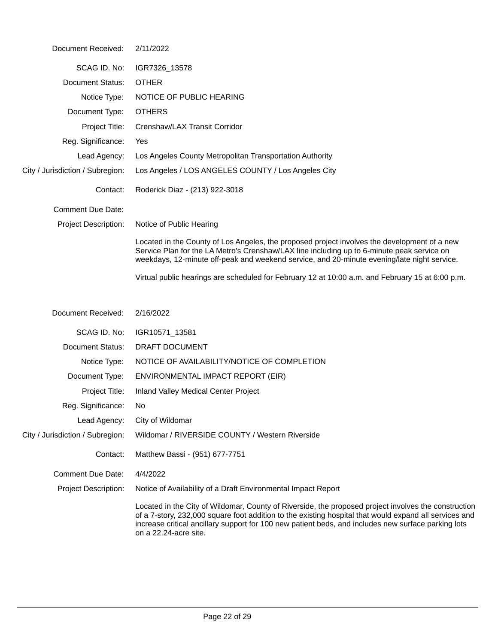| Document Received:               | 2/11/2022                                                                                                                                                                                                                                                                                                                                      |  |
|----------------------------------|------------------------------------------------------------------------------------------------------------------------------------------------------------------------------------------------------------------------------------------------------------------------------------------------------------------------------------------------|--|
| SCAG ID. No:                     | IGR7326_13578                                                                                                                                                                                                                                                                                                                                  |  |
| Document Status:                 | <b>OTHER</b>                                                                                                                                                                                                                                                                                                                                   |  |
| Notice Type:                     | NOTICE OF PUBLIC HEARING                                                                                                                                                                                                                                                                                                                       |  |
| Document Type:                   | <b>OTHERS</b>                                                                                                                                                                                                                                                                                                                                  |  |
| Project Title:                   | Crenshaw/LAX Transit Corridor                                                                                                                                                                                                                                                                                                                  |  |
| Reg. Significance:               | Yes                                                                                                                                                                                                                                                                                                                                            |  |
| Lead Agency:                     | Los Angeles County Metropolitan Transportation Authority                                                                                                                                                                                                                                                                                       |  |
| City / Jurisdiction / Subregion: | Los Angeles / LOS ANGELES COUNTY / Los Angeles City                                                                                                                                                                                                                                                                                            |  |
| Contact:                         | Roderick Diaz - (213) 922-3018                                                                                                                                                                                                                                                                                                                 |  |
| <b>Comment Due Date:</b>         |                                                                                                                                                                                                                                                                                                                                                |  |
| <b>Project Description:</b>      | Notice of Public Hearing                                                                                                                                                                                                                                                                                                                       |  |
|                                  | Located in the County of Los Angeles, the proposed project involves the development of a new<br>Service Plan for the LA Metro's Crenshaw/LAX line including up to 6-minute peak service on<br>weekdays, 12-minute off-peak and weekend service, and 20-minute evening/late night service.                                                      |  |
|                                  | Virtual public hearings are scheduled for February 12 at 10:00 a.m. and February 15 at 6:00 p.m.                                                                                                                                                                                                                                               |  |
| Document Received:               | 2/16/2022                                                                                                                                                                                                                                                                                                                                      |  |
| SCAG ID. No:                     | IGR10571_13581                                                                                                                                                                                                                                                                                                                                 |  |
| <b>Document Status:</b>          | DRAFT DOCUMENT                                                                                                                                                                                                                                                                                                                                 |  |
| Notice Type:                     | NOTICE OF AVAILABILITY/NOTICE OF COMPLETION                                                                                                                                                                                                                                                                                                    |  |
| Document Type:                   | ENVIRONMENTAL IMPACT REPORT (EIR)                                                                                                                                                                                                                                                                                                              |  |
| Project Title:                   | Inland Valley Medical Center Project                                                                                                                                                                                                                                                                                                           |  |
| Reg. Significance:               | No.                                                                                                                                                                                                                                                                                                                                            |  |
| Lead Agency:                     | City of Wildomar                                                                                                                                                                                                                                                                                                                               |  |
| City / Jurisdiction / Subregion: | Wildomar / RIVERSIDE COUNTY / Western Riverside                                                                                                                                                                                                                                                                                                |  |
| Contact:                         | Matthew Bassi - (951) 677-7751                                                                                                                                                                                                                                                                                                                 |  |
| <b>Comment Due Date:</b>         | 4/4/2022                                                                                                                                                                                                                                                                                                                                       |  |
| <b>Project Description:</b>      | Notice of Availability of a Draft Environmental Impact Report                                                                                                                                                                                                                                                                                  |  |
|                                  | Located in the City of Wildomar, County of Riverside, the proposed project involves the construction<br>of a 7-story, 232,000 square foot addition to the existing hospital that would expand all services and<br>increase critical ancillary support for 100 new patient beds, and includes new surface parking lots<br>on a 22.24-acre site. |  |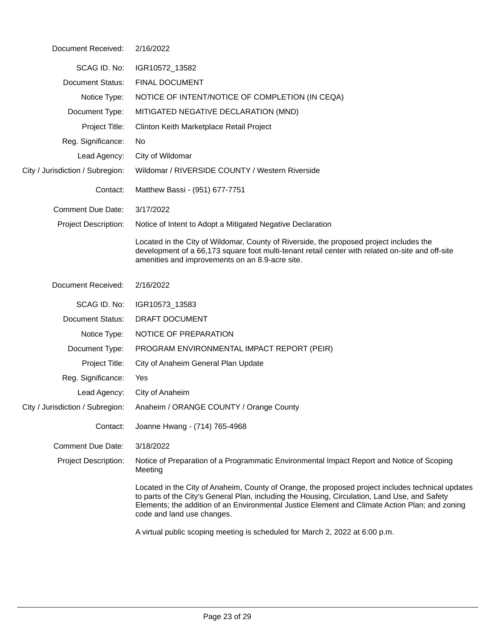| Document Received:               | 2/16/2022                                                                                                                                                                                                                                                                                                                          |  |
|----------------------------------|------------------------------------------------------------------------------------------------------------------------------------------------------------------------------------------------------------------------------------------------------------------------------------------------------------------------------------|--|
| SCAG ID. No:                     | IGR10572_13582                                                                                                                                                                                                                                                                                                                     |  |
| <b>Document Status:</b>          | <b>FINAL DOCUMENT</b>                                                                                                                                                                                                                                                                                                              |  |
| Notice Type:                     | NOTICE OF INTENT/NOTICE OF COMPLETION (IN CEQA)                                                                                                                                                                                                                                                                                    |  |
| Document Type:                   | MITIGATED NEGATIVE DECLARATION (MND)                                                                                                                                                                                                                                                                                               |  |
| Project Title:                   | Clinton Keith Marketplace Retail Project                                                                                                                                                                                                                                                                                           |  |
| Reg. Significance:               | No.                                                                                                                                                                                                                                                                                                                                |  |
| Lead Agency:                     | City of Wildomar                                                                                                                                                                                                                                                                                                                   |  |
| City / Jurisdiction / Subregion: | Wildomar / RIVERSIDE COUNTY / Western Riverside                                                                                                                                                                                                                                                                                    |  |
| Contact:                         | Matthew Bassi - (951) 677-7751                                                                                                                                                                                                                                                                                                     |  |
| <b>Comment Due Date:</b>         | 3/17/2022                                                                                                                                                                                                                                                                                                                          |  |
| <b>Project Description:</b>      | Notice of Intent to Adopt a Mitigated Negative Declaration                                                                                                                                                                                                                                                                         |  |
|                                  | Located in the City of Wildomar, County of Riverside, the proposed project includes the<br>development of a 66,173 square foot multi-tenant retail center with related on-site and off-site<br>amenities and improvements on an 8.9-acre site.                                                                                     |  |
| Document Received:               | 2/16/2022                                                                                                                                                                                                                                                                                                                          |  |
| SCAG ID. No:                     | IGR10573_13583                                                                                                                                                                                                                                                                                                                     |  |
| <b>Document Status:</b>          | DRAFT DOCUMENT                                                                                                                                                                                                                                                                                                                     |  |
| Notice Type:                     | NOTICE OF PREPARATION                                                                                                                                                                                                                                                                                                              |  |
| Document Type:                   | PROGRAM ENVIRONMENTAL IMPACT REPORT (PEIR)                                                                                                                                                                                                                                                                                         |  |
| Project Title:                   | City of Anaheim General Plan Update                                                                                                                                                                                                                                                                                                |  |
| Reg. Significance:               | Yes                                                                                                                                                                                                                                                                                                                                |  |
| Lead Agency:                     | City of Anaheim                                                                                                                                                                                                                                                                                                                    |  |
| City / Jurisdiction / Subregion: | Anaheim / ORANGE COUNTY / Orange County                                                                                                                                                                                                                                                                                            |  |
| Contact:                         | Joanne Hwang - (714) 765-4968                                                                                                                                                                                                                                                                                                      |  |
| <b>Comment Due Date:</b>         | 3/18/2022                                                                                                                                                                                                                                                                                                                          |  |
| <b>Project Description:</b>      | Notice of Preparation of a Programmatic Environmental Impact Report and Notice of Scoping<br>Meeting                                                                                                                                                                                                                               |  |
|                                  | Located in the City of Anaheim, County of Orange, the proposed project includes technical updates<br>to parts of the City's General Plan, including the Housing, Circulation, Land Use, and Safety<br>Elements; the addition of an Environmental Justice Element and Climate Action Plan; and zoning<br>code and land use changes. |  |
|                                  | A virtual public scoping meeting is scheduled for March 2, 2022 at 6:00 p.m.                                                                                                                                                                                                                                                       |  |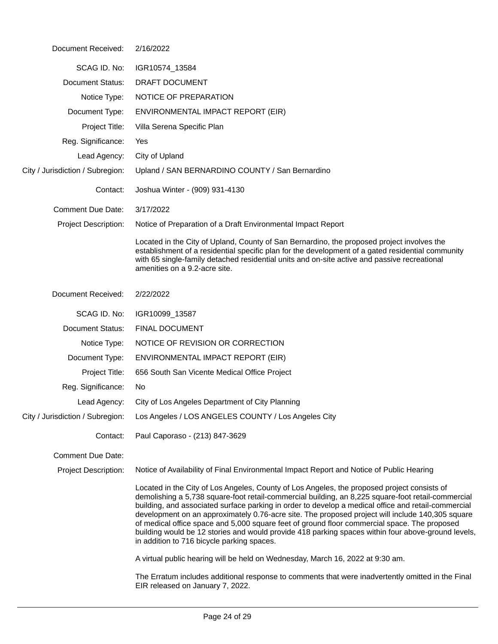| Document Received:               | 2/16/2022                                                                                                                                                                                                                                                                                                                                                                                                                                                                                                                                                                                                                                                        |  |  |
|----------------------------------|------------------------------------------------------------------------------------------------------------------------------------------------------------------------------------------------------------------------------------------------------------------------------------------------------------------------------------------------------------------------------------------------------------------------------------------------------------------------------------------------------------------------------------------------------------------------------------------------------------------------------------------------------------------|--|--|
| SCAG ID. No:                     | IGR10574_13584                                                                                                                                                                                                                                                                                                                                                                                                                                                                                                                                                                                                                                                   |  |  |
| <b>Document Status:</b>          | DRAFT DOCUMENT                                                                                                                                                                                                                                                                                                                                                                                                                                                                                                                                                                                                                                                   |  |  |
| Notice Type:                     | NOTICE OF PREPARATION                                                                                                                                                                                                                                                                                                                                                                                                                                                                                                                                                                                                                                            |  |  |
| Document Type:                   | ENVIRONMENTAL IMPACT REPORT (EIR)                                                                                                                                                                                                                                                                                                                                                                                                                                                                                                                                                                                                                                |  |  |
| Project Title:                   | Villa Serena Specific Plan                                                                                                                                                                                                                                                                                                                                                                                                                                                                                                                                                                                                                                       |  |  |
| Reg. Significance:               | Yes                                                                                                                                                                                                                                                                                                                                                                                                                                                                                                                                                                                                                                                              |  |  |
| Lead Agency:                     | City of Upland                                                                                                                                                                                                                                                                                                                                                                                                                                                                                                                                                                                                                                                   |  |  |
| City / Jurisdiction / Subregion: | Upland / SAN BERNARDINO COUNTY / San Bernardino                                                                                                                                                                                                                                                                                                                                                                                                                                                                                                                                                                                                                  |  |  |
| Contact:                         | Joshua Winter - (909) 931-4130                                                                                                                                                                                                                                                                                                                                                                                                                                                                                                                                                                                                                                   |  |  |
| <b>Comment Due Date:</b>         | 3/17/2022                                                                                                                                                                                                                                                                                                                                                                                                                                                                                                                                                                                                                                                        |  |  |
| <b>Project Description:</b>      | Notice of Preparation of a Draft Environmental Impact Report                                                                                                                                                                                                                                                                                                                                                                                                                                                                                                                                                                                                     |  |  |
|                                  | Located in the City of Upland, County of San Bernardino, the proposed project involves the<br>establishment of a residential specific plan for the development of a gated residential community<br>with 65 single-family detached residential units and on-site active and passive recreational<br>amenities on a 9.2-acre site.                                                                                                                                                                                                                                                                                                                                 |  |  |
| Document Received:               | 2/22/2022                                                                                                                                                                                                                                                                                                                                                                                                                                                                                                                                                                                                                                                        |  |  |
| SCAG ID. No:                     | IGR10099_13587                                                                                                                                                                                                                                                                                                                                                                                                                                                                                                                                                                                                                                                   |  |  |
| <b>Document Status:</b>          | <b>FINAL DOCUMENT</b>                                                                                                                                                                                                                                                                                                                                                                                                                                                                                                                                                                                                                                            |  |  |
| Notice Type:                     | NOTICE OF REVISION OR CORRECTION                                                                                                                                                                                                                                                                                                                                                                                                                                                                                                                                                                                                                                 |  |  |
| Document Type:                   | ENVIRONMENTAL IMPACT REPORT (EIR)                                                                                                                                                                                                                                                                                                                                                                                                                                                                                                                                                                                                                                |  |  |
| Project Title:                   | 656 South San Vicente Medical Office Project                                                                                                                                                                                                                                                                                                                                                                                                                                                                                                                                                                                                                     |  |  |
| Reg. Significance:               | No                                                                                                                                                                                                                                                                                                                                                                                                                                                                                                                                                                                                                                                               |  |  |
| Lead Agency:                     | City of Los Angeles Department of City Planning                                                                                                                                                                                                                                                                                                                                                                                                                                                                                                                                                                                                                  |  |  |
| City / Jurisdiction / Subregion: | Los Angeles / LOS ANGELES COUNTY / Los Angeles City                                                                                                                                                                                                                                                                                                                                                                                                                                                                                                                                                                                                              |  |  |
| Contact:                         | Paul Caporaso - (213) 847-3629                                                                                                                                                                                                                                                                                                                                                                                                                                                                                                                                                                                                                                   |  |  |
| <b>Comment Due Date:</b>         |                                                                                                                                                                                                                                                                                                                                                                                                                                                                                                                                                                                                                                                                  |  |  |
| <b>Project Description:</b>      | Notice of Availability of Final Environmental Impact Report and Notice of Public Hearing                                                                                                                                                                                                                                                                                                                                                                                                                                                                                                                                                                         |  |  |
|                                  | Located in the City of Los Angeles, County of Los Angeles, the proposed project consists of<br>demolishing a 5,738 square-foot retail-commercial building, an 8,225 square-foot retail-commercial<br>building, and associated surface parking in order to develop a medical office and retail-commercial<br>development on an approximately 0.76-acre site. The proposed project will include 140,305 square<br>of medical office space and 5,000 square feet of ground floor commercial space. The proposed<br>building would be 12 stories and would provide 418 parking spaces within four above-ground levels,<br>in addition to 716 bicycle parking spaces. |  |  |
|                                  | A virtual public hearing will be held on Wednesday, March 16, 2022 at 9:30 am.                                                                                                                                                                                                                                                                                                                                                                                                                                                                                                                                                                                   |  |  |
|                                  | The Erratum includes additional response to comments that were inadvertently omitted in the Final<br>EIR released on January 7, 2022.                                                                                                                                                                                                                                                                                                                                                                                                                                                                                                                            |  |  |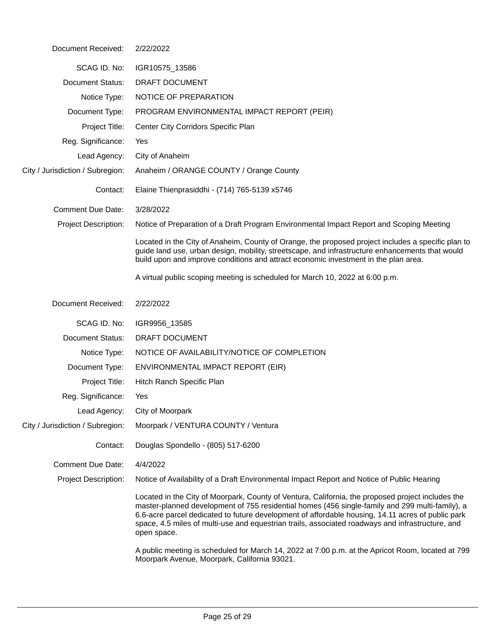| Document Received: | 2/22/2022 |
|--------------------|-----------|
|--------------------|-----------|

| SCAG ID. No:                     | IGR10575_13586                                                                                                                                                                                                                                                                                                                                                                                                               |
|----------------------------------|------------------------------------------------------------------------------------------------------------------------------------------------------------------------------------------------------------------------------------------------------------------------------------------------------------------------------------------------------------------------------------------------------------------------------|
| <b>Document Status:</b>          | DRAFT DOCUMENT                                                                                                                                                                                                                                                                                                                                                                                                               |
| Notice Type:                     | NOTICE OF PREPARATION                                                                                                                                                                                                                                                                                                                                                                                                        |
| Document Type:                   | PROGRAM ENVIRONMENTAL IMPACT REPORT (PEIR)                                                                                                                                                                                                                                                                                                                                                                                   |
| Project Title:                   | Center City Corridors Specific Plan                                                                                                                                                                                                                                                                                                                                                                                          |
| Reg. Significance:               | Yes                                                                                                                                                                                                                                                                                                                                                                                                                          |
| Lead Agency:                     | City of Anaheim                                                                                                                                                                                                                                                                                                                                                                                                              |
| City / Jurisdiction / Subregion: | Anaheim / ORANGE COUNTY / Orange County                                                                                                                                                                                                                                                                                                                                                                                      |
| Contact:                         | Elaine Thienprasiddhi - (714) 765-5139 x5746                                                                                                                                                                                                                                                                                                                                                                                 |
| <b>Comment Due Date:</b>         | 3/28/2022                                                                                                                                                                                                                                                                                                                                                                                                                    |
| Project Description:             | Notice of Preparation of a Draft Program Environmental Impact Report and Scoping Meeting                                                                                                                                                                                                                                                                                                                                     |
|                                  | Located in the City of Anaheim, County of Orange, the proposed project includes a specific plan to<br>guide land use, urban design, mobility, streetscape, and infrastructure enhancements that would<br>build upon and improve conditions and attract economic investment in the plan area.                                                                                                                                 |
|                                  | A virtual public scoping meeting is scheduled for March 10, 2022 at 6:00 p.m.                                                                                                                                                                                                                                                                                                                                                |
| Document Received:               | 2/22/2022                                                                                                                                                                                                                                                                                                                                                                                                                    |
| SCAG ID. No:                     | IGR9956_13585                                                                                                                                                                                                                                                                                                                                                                                                                |
| <b>Document Status:</b>          | DRAFT DOCUMENT                                                                                                                                                                                                                                                                                                                                                                                                               |
| Notice Type:                     | NOTICE OF AVAILABILITY/NOTICE OF COMPLETION                                                                                                                                                                                                                                                                                                                                                                                  |
| Document Type:                   | ENVIRONMENTAL IMPACT REPORT (EIR)                                                                                                                                                                                                                                                                                                                                                                                            |
| Project Title:                   | Hitch Ranch Specific Plan                                                                                                                                                                                                                                                                                                                                                                                                    |
| Reg. Significance:               | Yes                                                                                                                                                                                                                                                                                                                                                                                                                          |
| Lead Agency:                     | City of Moorpark                                                                                                                                                                                                                                                                                                                                                                                                             |
| City / Jurisdiction / Subregion: | Moorpark / VENTURA COUNTY / Ventura                                                                                                                                                                                                                                                                                                                                                                                          |
| Contact:                         | Douglas Spondello - (805) 517-6200                                                                                                                                                                                                                                                                                                                                                                                           |
| <b>Comment Due Date:</b>         | 4/4/2022                                                                                                                                                                                                                                                                                                                                                                                                                     |
| <b>Project Description:</b>      | Notice of Availability of a Draft Environmental Impact Report and Notice of Public Hearing                                                                                                                                                                                                                                                                                                                                   |
|                                  | Located in the City of Moorpark, County of Ventura, California, the proposed project includes the<br>master-planned development of 755 residential homes (456 single-family and 299 multi-family), a<br>6.6-acre parcel dedicated to future development of affordable housing, 14.11 acres of public park<br>space, 4.5 miles of multi-use and equestrian trails, associated roadways and infrastructure, and<br>open space. |
|                                  | A public meeting is scheduled for March 14, 2022 at 7:00 p.m. at the Apricot Room, located at 799<br>Moorpark Avenue, Moorpark, California 93021.                                                                                                                                                                                                                                                                            |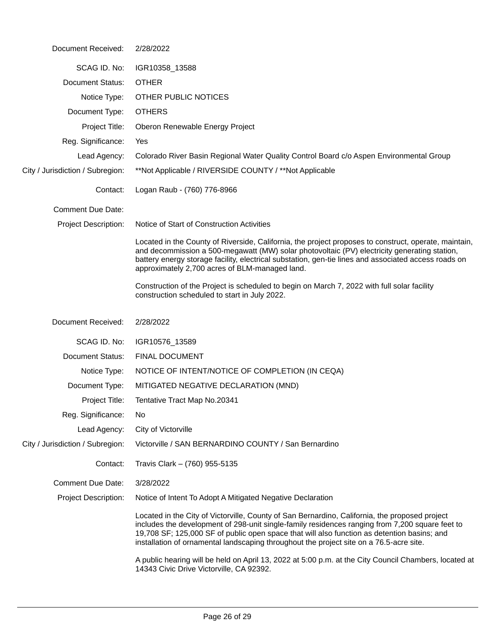| Document Received:               | 2/28/2022                                                                                                                                                                                                                                                                                                                                                                                   |
|----------------------------------|---------------------------------------------------------------------------------------------------------------------------------------------------------------------------------------------------------------------------------------------------------------------------------------------------------------------------------------------------------------------------------------------|
| SCAG ID. No:                     | IGR10358_13588                                                                                                                                                                                                                                                                                                                                                                              |
| <b>Document Status:</b>          | <b>OTHER</b>                                                                                                                                                                                                                                                                                                                                                                                |
| Notice Type:                     | OTHER PUBLIC NOTICES                                                                                                                                                                                                                                                                                                                                                                        |
| Document Type:                   | <b>OTHERS</b>                                                                                                                                                                                                                                                                                                                                                                               |
| Project Title:                   | Oberon Renewable Energy Project                                                                                                                                                                                                                                                                                                                                                             |
| Reg. Significance:               | Yes                                                                                                                                                                                                                                                                                                                                                                                         |
| Lead Agency:                     | Colorado River Basin Regional Water Quality Control Board c/o Aspen Environmental Group                                                                                                                                                                                                                                                                                                     |
| City / Jurisdiction / Subregion: | **Not Applicable / RIVERSIDE COUNTY / **Not Applicable                                                                                                                                                                                                                                                                                                                                      |
| Contact:                         | Logan Raub - (760) 776-8966                                                                                                                                                                                                                                                                                                                                                                 |
| <b>Comment Due Date:</b>         |                                                                                                                                                                                                                                                                                                                                                                                             |
| Project Description:             | Notice of Start of Construction Activities                                                                                                                                                                                                                                                                                                                                                  |
|                                  | Located in the County of Riverside, California, the project proposes to construct, operate, maintain,<br>and decommission a 500-megawatt (MW) solar photovoltaic (PV) electricity generating station,<br>battery energy storage facility, electrical substation, gen-tie lines and associated access roads on<br>approximately 2,700 acres of BLM-managed land.                             |
|                                  | Construction of the Project is scheduled to begin on March 7, 2022 with full solar facility<br>construction scheduled to start in July 2022.                                                                                                                                                                                                                                                |
| Document Received:               | 2/28/2022                                                                                                                                                                                                                                                                                                                                                                                   |
| SCAG ID. No:                     | IGR10576_13589                                                                                                                                                                                                                                                                                                                                                                              |
| <b>Document Status:</b>          | <b>FINAL DOCUMENT</b>                                                                                                                                                                                                                                                                                                                                                                       |
| Notice Type:                     | NOTICE OF INTENT/NOTICE OF COMPLETION (IN CEQA)                                                                                                                                                                                                                                                                                                                                             |
| Document Type:                   | MITIGATED NEGATIVE DECLARATION (MND)                                                                                                                                                                                                                                                                                                                                                        |
| Project Title:                   | Tentative Tract Map No.20341                                                                                                                                                                                                                                                                                                                                                                |
| Reg. Significance:               | No                                                                                                                                                                                                                                                                                                                                                                                          |
| Lead Agency:                     | City of Victorville                                                                                                                                                                                                                                                                                                                                                                         |
| City / Jurisdiction / Subregion: | Victorville / SAN BERNARDINO COUNTY / San Bernardino                                                                                                                                                                                                                                                                                                                                        |
| Contact:                         | Travis Clark - (760) 955-5135                                                                                                                                                                                                                                                                                                                                                               |
| <b>Comment Due Date:</b>         | 3/28/2022                                                                                                                                                                                                                                                                                                                                                                                   |
| <b>Project Description:</b>      | Notice of Intent To Adopt A Mitigated Negative Declaration                                                                                                                                                                                                                                                                                                                                  |
|                                  | Located in the City of Victorville, County of San Bernardino, California, the proposed project<br>includes the development of 298-unit single-family residences ranging from 7,200 square feet to<br>19,708 SF; 125,000 SF of public open space that will also function as detention basins; and<br>installation of ornamental landscaping throughout the project site on a 76.5-acre site. |
|                                  | A public hearing will be held on April 13, 2022 at 5:00 p.m. at the City Council Chambers, located at                                                                                                                                                                                                                                                                                       |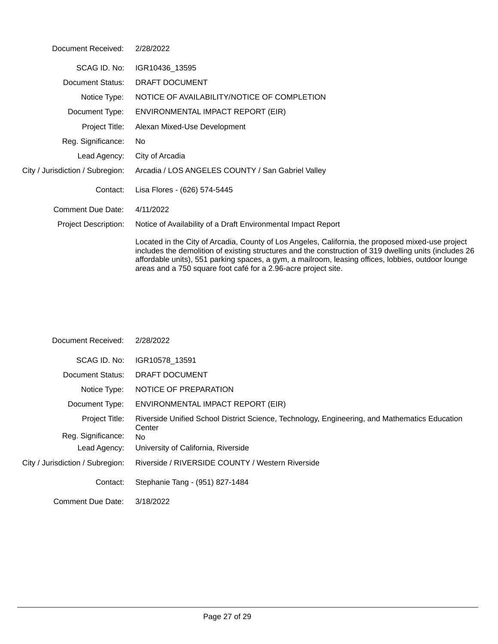| Document Received:               | 2/28/2022                                                                                                                       |
|----------------------------------|---------------------------------------------------------------------------------------------------------------------------------|
| SCAG ID, No:                     | IGR10436_13595                                                                                                                  |
| Document Status:                 | <b>DRAFT DOCUMENT</b>                                                                                                           |
| Notice Type:                     | NOTICE OF AVAILABILITY/NOTICE OF COMPLETION                                                                                     |
| Document Type:                   | ENVIRONMENTAL IMPACT REPORT (EIR)                                                                                               |
| Project Title:                   | Alexan Mixed-Use Development                                                                                                    |
| Reg. Significance:               | No.                                                                                                                             |
| Lead Agency:                     | City of Arcadia                                                                                                                 |
| City / Jurisdiction / Subregion: | Arcadia / LOS ANGELES COUNTY / San Gabriel Valley                                                                               |
| Contact:                         | Lisa Flores - (626) 574-5445                                                                                                    |
| Comment Due Date:                | 4/11/2022                                                                                                                       |
| <b>Project Description:</b>      | Notice of Availability of a Draft Environmental Impact Report                                                                   |
|                                  | Located in the City of Arcadia, County of Los Angeles, Califo<br>includes the demolition of existing structures and the constru |

Located in the City of Arcadia, County of Los Angeles, California, the proposed mixed-use project includes the demolition of existing structures and the construction of 319 dwelling units (includes 26 affordable units), 551 parking spaces, a gym, a mailroom, leasing offices, lobbies, outdoor lounge areas and a 750 square foot café for a 2.96-acre project site.

| Document Received:               | 2/28/2022                                                                                               |
|----------------------------------|---------------------------------------------------------------------------------------------------------|
| SCAG ID, No:                     | IGR10578_13591                                                                                          |
| Document Status:                 | DRAFT DOCUMENT                                                                                          |
| Notice Type:                     | NOTICE OF PREPARATION                                                                                   |
| Document Type:                   | ENVIRONMENTAL IMPACT REPORT (EIR)                                                                       |
| Project Title:                   | Riverside Unified School District Science, Technology, Engineering, and Mathematics Education<br>Center |
| Reg. Significance:               | <b>No</b>                                                                                               |
| Lead Agency:                     | University of California, Riverside                                                                     |
| City / Jurisdiction / Subregion: | Riverside / RIVERSIDE COUNTY / Western Riverside                                                        |
| Contact:                         | Stephanie Tang - (951) 827-1484                                                                         |
| Comment Due Date:                | 3/18/2022                                                                                               |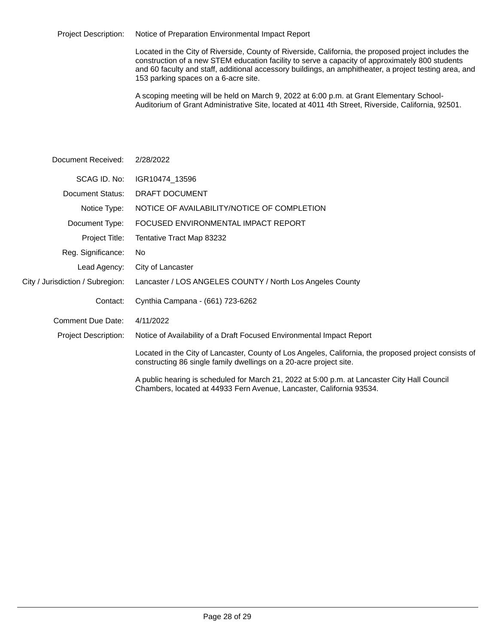Project Description: Notice of Preparation Environmental Impact Report

Located in the City of Riverside, County of Riverside, California, the proposed project includes the construction of a new STEM education facility to serve a capacity of approximately 800 students and 60 faculty and staff, additional accessory buildings, an amphitheater, a project testing area, and 153 parking spaces on a 6-acre site.

A scoping meeting will be held on March 9, 2022 at 6:00 p.m. at Grant Elementary School-Auditorium of Grant Administrative Site, located at 4011 4th Street, Riverside, California, 92501.

| Document Received:               | 2/28/2022                                                                                                                                                                   |
|----------------------------------|-----------------------------------------------------------------------------------------------------------------------------------------------------------------------------|
| SCAG ID. No:                     | IGR10474_13596                                                                                                                                                              |
| Document Status:                 | DRAFT DOCUMENT                                                                                                                                                              |
| Notice Type:                     | NOTICE OF AVAILABILITY/NOTICE OF COMPLETION                                                                                                                                 |
| Document Type:                   | FOCUSED ENVIRONMENTAL IMPACT REPORT                                                                                                                                         |
| Project Title:                   | Tentative Tract Map 83232                                                                                                                                                   |
| Reg. Significance:               | No.                                                                                                                                                                         |
| Lead Agency:                     | City of Lancaster                                                                                                                                                           |
| City / Jurisdiction / Subregion: | Lancaster / LOS ANGELES COUNTY / North Los Angeles County                                                                                                                   |
| Contact:                         | Cynthia Campana - (661) 723-6262                                                                                                                                            |
| Comment Due Date:                | 4/11/2022                                                                                                                                                                   |
| <b>Project Description:</b>      | Notice of Availability of a Draft Focused Environmental Impact Report                                                                                                       |
|                                  | Located in the City of Lancaster, County of Los Angeles, California, the proposed project consists of<br>constructing 86 single family dwellings on a 20-acre project site. |
|                                  | A public hearing is scheduled for March 21, 2022 at 5:00 p.m. at Lancaster City Hall Council<br>Chambers, located at 44933 Fern Avenue, Lancaster, California 93534.        |